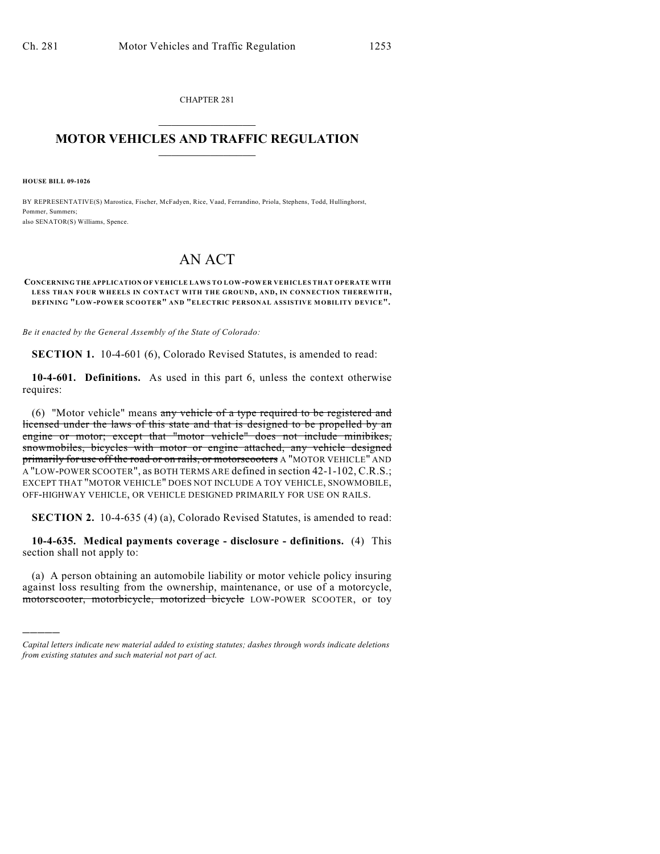CHAPTER 281  $\mathcal{L}_\text{max}$  . The set of the set of the set of the set of the set of the set of the set of the set of the set of the set of the set of the set of the set of the set of the set of the set of the set of the set of the set

## **MOTOR VEHICLES AND TRAFFIC REGULATION**  $\frac{1}{2}$  ,  $\frac{1}{2}$  ,  $\frac{1}{2}$  ,  $\frac{1}{2}$  ,  $\frac{1}{2}$  ,  $\frac{1}{2}$  ,  $\frac{1}{2}$  ,  $\frac{1}{2}$

**HOUSE BILL 09-1026**

)))))

BY REPRESENTATIVE(S) Marostica, Fischer, McFadyen, Rice, Vaad, Ferrandino, Priola, Stephens, Todd, Hullinghorst, Pommer, Summers; also SENATOR(S) Williams, Spence.

# AN ACT

#### **CONCERNING THE APPLICATION OF VEHICLE LAWS TO LOW-POWER VEHICLES THAT OPERATE WITH LESS THAN FOUR WHEELS IN CONTACT WITH THE GROUND, AND, IN CONNECTION THEREWITH, DEFINING "LOW-POWER SCOOTER" AND "ELECTRIC PERSONAL ASSISTIVE MOBILITY DEVICE".**

*Be it enacted by the General Assembly of the State of Colorado:*

**SECTION 1.** 10-4-601 (6), Colorado Revised Statutes, is amended to read:

**10-4-601. Definitions.** As used in this part 6, unless the context otherwise requires:

(6) "Motor vehicle" means any vehicle of a type required to be registered and licensed under the laws of this state and that is designed to be propelled by an engine or motor; except that "motor vehicle" does not include minibikes, snowmobiles, bicycles with motor or engine attached, any vehicle designed primarily for use off the road or on rails, or motorscooters A "MOTOR VEHICLE" AND A "LOW-POWER SCOOTER", as BOTH TERMS ARE defined in section 42-1-102, C.R.S.; EXCEPT THAT "MOTOR VEHICLE" DOES NOT INCLUDE A TOY VEHICLE, SNOWMOBILE, OFF-HIGHWAY VEHICLE, OR VEHICLE DESIGNED PRIMARILY FOR USE ON RAILS.

**SECTION 2.** 10-4-635 (4) (a), Colorado Revised Statutes, is amended to read:

**10-4-635. Medical payments coverage - disclosure - definitions.** (4) This section shall not apply to:

(a) A person obtaining an automobile liability or motor vehicle policy insuring against loss resulting from the ownership, maintenance, or use of a motorcycle, motorscooter, motorbicycle, motorized bicycle LOW-POWER SCOOTER, or toy

*Capital letters indicate new material added to existing statutes; dashes through words indicate deletions from existing statutes and such material not part of act.*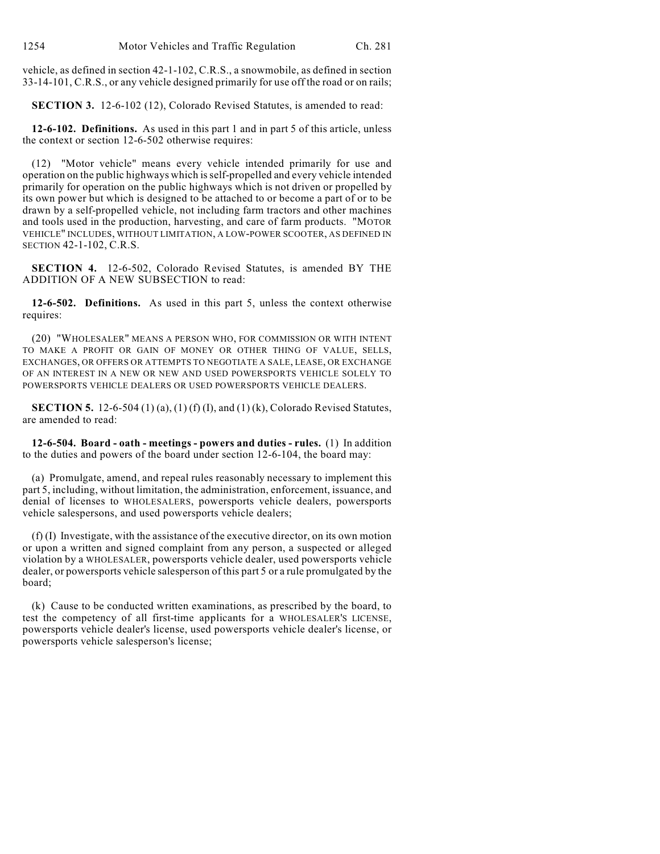vehicle, as defined in section 42-1-102, C.R.S., a snowmobile, as defined in section 33-14-101, C.R.S., or any vehicle designed primarily for use off the road or on rails;

**SECTION 3.** 12-6-102 (12), Colorado Revised Statutes, is amended to read:

**12-6-102. Definitions.** As used in this part 1 and in part 5 of this article, unless the context or section 12-6-502 otherwise requires:

(12) "Motor vehicle" means every vehicle intended primarily for use and operation on the public highways which is self-propelled and every vehicle intended primarily for operation on the public highways which is not driven or propelled by its own power but which is designed to be attached to or become a part of or to be drawn by a self-propelled vehicle, not including farm tractors and other machines and tools used in the production, harvesting, and care of farm products. "MOTOR VEHICLE" INCLUDES, WITHOUT LIMITATION, A LOW-POWER SCOOTER, AS DEFINED IN SECTION 42-1-102, C.R.S.

**SECTION 4.** 12-6-502, Colorado Revised Statutes, is amended BY THE ADDITION OF A NEW SUBSECTION to read:

**12-6-502. Definitions.** As used in this part 5, unless the context otherwise requires:

(20) "WHOLESALER" MEANS A PERSON WHO, FOR COMMISSION OR WITH INTENT TO MAKE A PROFIT OR GAIN OF MONEY OR OTHER THING OF VALUE, SELLS, EXCHANGES, OR OFFERS OR ATTEMPTS TO NEGOTIATE A SALE, LEASE, OR EXCHANGE OF AN INTEREST IN A NEW OR NEW AND USED POWERSPORTS VEHICLE SOLELY TO POWERSPORTS VEHICLE DEALERS OR USED POWERSPORTS VEHICLE DEALERS.

**SECTION 5.** 12-6-504 (1) (a), (1) (f) (I), and (1) (k), Colorado Revised Statutes, are amended to read:

**12-6-504. Board - oath - meetings - powers and duties - rules.** (1) In addition to the duties and powers of the board under section 12-6-104, the board may:

(a) Promulgate, amend, and repeal rules reasonably necessary to implement this part 5, including, without limitation, the administration, enforcement, issuance, and denial of licenses to WHOLESALERS, powersports vehicle dealers, powersports vehicle salespersons, and used powersports vehicle dealers;

(f) (I) Investigate, with the assistance of the executive director, on its own motion or upon a written and signed complaint from any person, a suspected or alleged violation by a WHOLESALER, powersports vehicle dealer, used powersports vehicle dealer, or powersports vehicle salesperson of this part 5 or a rule promulgated by the board;

(k) Cause to be conducted written examinations, as prescribed by the board, to test the competency of all first-time applicants for a WHOLESALER'S LICENSE, powersports vehicle dealer's license, used powersports vehicle dealer's license, or powersports vehicle salesperson's license;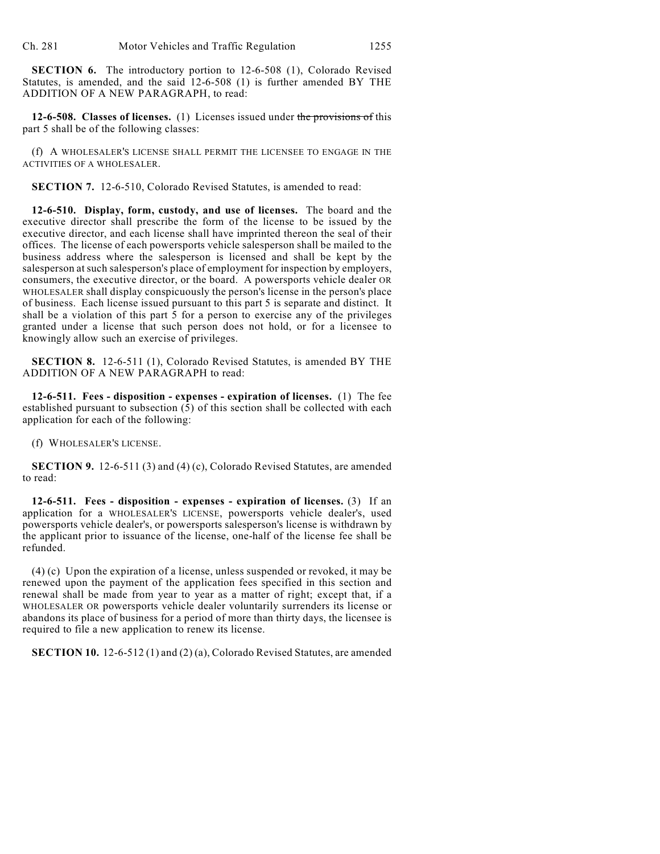**SECTION 6.** The introductory portion to 12-6-508 (1), Colorado Revised Statutes, is amended, and the said 12-6-508 (1) is further amended BY THE ADDITION OF A NEW PARAGRAPH, to read:

**12-6-508. Classes of licenses.** (1) Licenses issued under the provisions of this part 5 shall be of the following classes:

(f) A WHOLESALER'S LICENSE SHALL PERMIT THE LICENSEE TO ENGAGE IN THE ACTIVITIES OF A WHOLESALER.

**SECTION 7.** 12-6-510, Colorado Revised Statutes, is amended to read:

**12-6-510. Display, form, custody, and use of licenses.** The board and the executive director shall prescribe the form of the license to be issued by the executive director, and each license shall have imprinted thereon the seal of their offices. The license of each powersports vehicle salesperson shall be mailed to the business address where the salesperson is licensed and shall be kept by the salesperson at such salesperson's place of employment for inspection by employers, consumers, the executive director, or the board. A powersports vehicle dealer OR WHOLESALER shall display conspicuously the person's license in the person's place of business. Each license issued pursuant to this part 5 is separate and distinct. It shall be a violation of this part 5 for a person to exercise any of the privileges granted under a license that such person does not hold, or for a licensee to knowingly allow such an exercise of privileges.

**SECTION 8.** 12-6-511 (1), Colorado Revised Statutes, is amended BY THE ADDITION OF A NEW PARAGRAPH to read:

**12-6-511. Fees - disposition - expenses - expiration of licenses.** (1) The fee established pursuant to subsection  $(5)$  of this section shall be collected with each application for each of the following:

(f) WHOLESALER'S LICENSE.

**SECTION 9.** 12-6-511 (3) and (4) (c), Colorado Revised Statutes, are amended to read:

**12-6-511. Fees - disposition - expenses - expiration of licenses.** (3) If an application for a WHOLESALER'S LICENSE, powersports vehicle dealer's, used powersports vehicle dealer's, or powersports salesperson's license is withdrawn by the applicant prior to issuance of the license, one-half of the license fee shall be refunded.

(4) (c) Upon the expiration of a license, unless suspended or revoked, it may be renewed upon the payment of the application fees specified in this section and renewal shall be made from year to year as a matter of right; except that, if a WHOLESALER OR powersports vehicle dealer voluntarily surrenders its license or abandons its place of business for a period of more than thirty days, the licensee is required to file a new application to renew its license.

**SECTION 10.** 12-6-512 (1) and (2) (a), Colorado Revised Statutes, are amended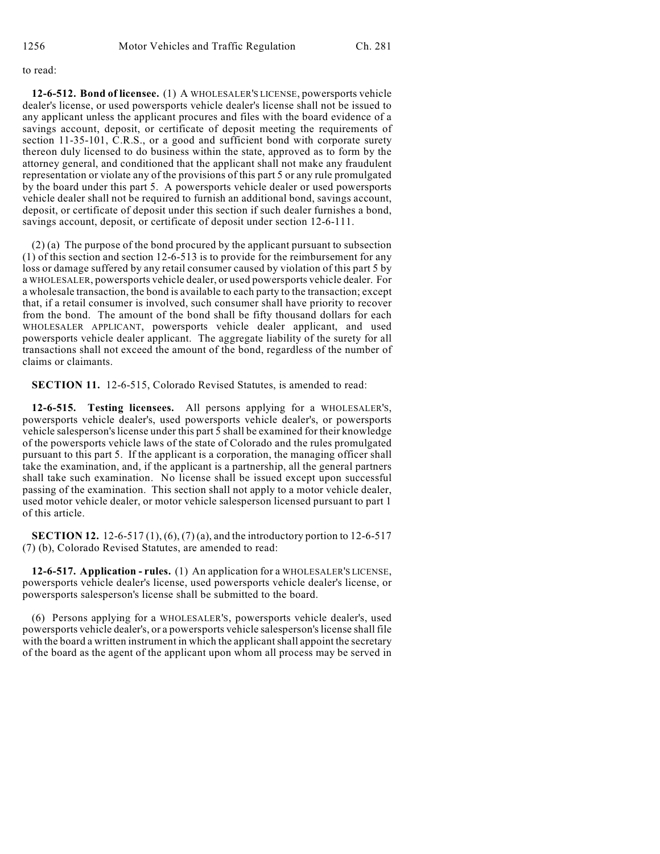### to read:

**12-6-512. Bond of licensee.** (1) A WHOLESALER'S LICENSE, powersports vehicle dealer's license, or used powersports vehicle dealer's license shall not be issued to any applicant unless the applicant procures and files with the board evidence of a savings account, deposit, or certificate of deposit meeting the requirements of section 11-35-101, C.R.S., or a good and sufficient bond with corporate surety thereon duly licensed to do business within the state, approved as to form by the attorney general, and conditioned that the applicant shall not make any fraudulent representation or violate any of the provisions of this part 5 or any rule promulgated by the board under this part 5. A powersports vehicle dealer or used powersports vehicle dealer shall not be required to furnish an additional bond, savings account, deposit, or certificate of deposit under this section if such dealer furnishes a bond, savings account, deposit, or certificate of deposit under section 12-6-111.

(2) (a) The purpose of the bond procured by the applicant pursuant to subsection (1) of this section and section 12-6-513 is to provide for the reimbursement for any loss or damage suffered by any retail consumer caused by violation of this part 5 by a WHOLESALER, powersports vehicle dealer, or used powersports vehicle dealer. For a wholesale transaction, the bond is available to each party to the transaction; except that, if a retail consumer is involved, such consumer shall have priority to recover from the bond. The amount of the bond shall be fifty thousand dollars for each WHOLESALER APPLICANT, powersports vehicle dealer applicant, and used powersports vehicle dealer applicant. The aggregate liability of the surety for all transactions shall not exceed the amount of the bond, regardless of the number of claims or claimants.

**SECTION 11.** 12-6-515, Colorado Revised Statutes, is amended to read:

**12-6-515. Testing licensees.** All persons applying for a WHOLESALER'S, powersports vehicle dealer's, used powersports vehicle dealer's, or powersports vehicle salesperson's license under this part 5 shall be examined for their knowledge of the powersports vehicle laws of the state of Colorado and the rules promulgated pursuant to this part 5. If the applicant is a corporation, the managing officer shall take the examination, and, if the applicant is a partnership, all the general partners shall take such examination. No license shall be issued except upon successful passing of the examination. This section shall not apply to a motor vehicle dealer, used motor vehicle dealer, or motor vehicle salesperson licensed pursuant to part 1 of this article.

**SECTION 12.** 12-6-517 (1), (6), (7) (a), and the introductory portion to 12-6-517 (7) (b), Colorado Revised Statutes, are amended to read:

**12-6-517. Application - rules.** (1) An application for a WHOLESALER'S LICENSE, powersports vehicle dealer's license, used powersports vehicle dealer's license, or powersports salesperson's license shall be submitted to the board.

(6) Persons applying for a WHOLESALER'S, powersports vehicle dealer's, used powersports vehicle dealer's, or a powersports vehicle salesperson's license shall file with the board a written instrument in which the applicant shall appoint the secretary of the board as the agent of the applicant upon whom all process may be served in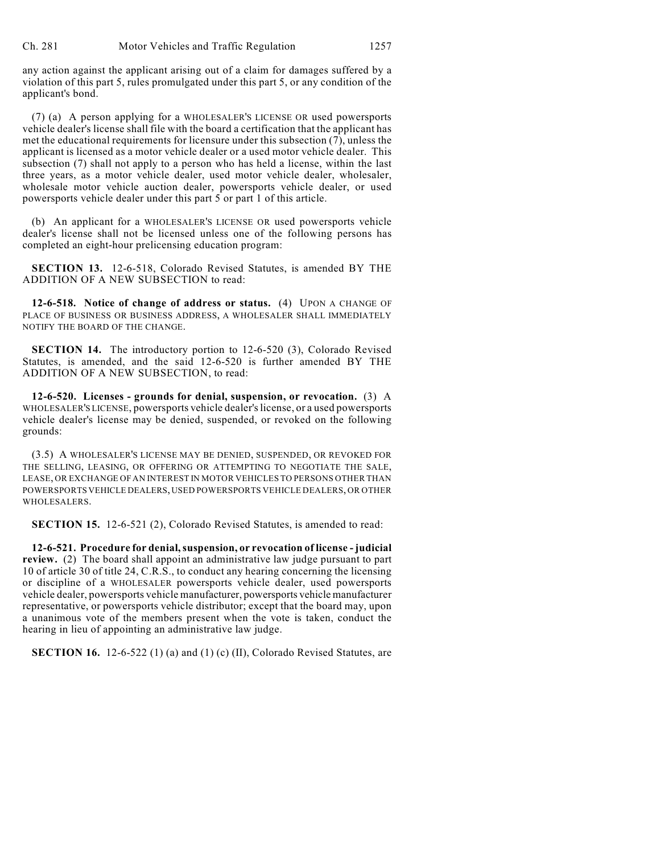any action against the applicant arising out of a claim for damages suffered by a violation of this part 5, rules promulgated under this part 5, or any condition of the applicant's bond.

(7) (a) A person applying for a WHOLESALER'S LICENSE OR used powersports vehicle dealer's license shall file with the board a certification that the applicant has met the educational requirements for licensure under this subsection (7), unless the applicant is licensed as a motor vehicle dealer or a used motor vehicle dealer. This subsection (7) shall not apply to a person who has held a license, within the last three years, as a motor vehicle dealer, used motor vehicle dealer, wholesaler, wholesale motor vehicle auction dealer, powersports vehicle dealer, or used powersports vehicle dealer under this part 5 or part 1 of this article.

(b) An applicant for a WHOLESALER'S LICENSE OR used powersports vehicle dealer's license shall not be licensed unless one of the following persons has completed an eight-hour prelicensing education program:

**SECTION 13.** 12-6-518, Colorado Revised Statutes, is amended BY THE ADDITION OF A NEW SUBSECTION to read:

**12-6-518. Notice of change of address or status.** (4) UPON A CHANGE OF PLACE OF BUSINESS OR BUSINESS ADDRESS, A WHOLESALER SHALL IMMEDIATELY NOTIFY THE BOARD OF THE CHANGE.

**SECTION 14.** The introductory portion to 12-6-520 (3), Colorado Revised Statutes, is amended, and the said 12-6-520 is further amended BY THE ADDITION OF A NEW SUBSECTION, to read:

**12-6-520. Licenses - grounds for denial, suspension, or revocation.** (3) A WHOLESALER'S LICENSE, powersports vehicle dealer's license, or a used powersports vehicle dealer's license may be denied, suspended, or revoked on the following grounds:

(3.5) A WHOLESALER'S LICENSE MAY BE DENIED, SUSPENDED, OR REVOKED FOR THE SELLING, LEASING, OR OFFERING OR ATTEMPTING TO NEGOTIATE THE SALE, LEASE, OR EXCHANGE OF AN INTEREST IN MOTOR VEHICLES TO PERSONS OTHER THAN POWERSPORTS VEHICLE DEALERS, USED POWERSPORTS VEHICLE DEALERS, OR OTHER WHOLESALERS.

**SECTION 15.** 12-6-521 (2), Colorado Revised Statutes, is amended to read:

**12-6-521. Procedure for denial,suspension, or revocation of license - judicial review.** (2) The board shall appoint an administrative law judge pursuant to part 10 of article 30 of title 24, C.R.S., to conduct any hearing concerning the licensing or discipline of a WHOLESALER powersports vehicle dealer, used powersports vehicle dealer, powersports vehicle manufacturer, powersports vehicle manufacturer representative, or powersports vehicle distributor; except that the board may, upon a unanimous vote of the members present when the vote is taken, conduct the hearing in lieu of appointing an administrative law judge.

**SECTION 16.** 12-6-522 (1) (a) and (1) (c) (II), Colorado Revised Statutes, are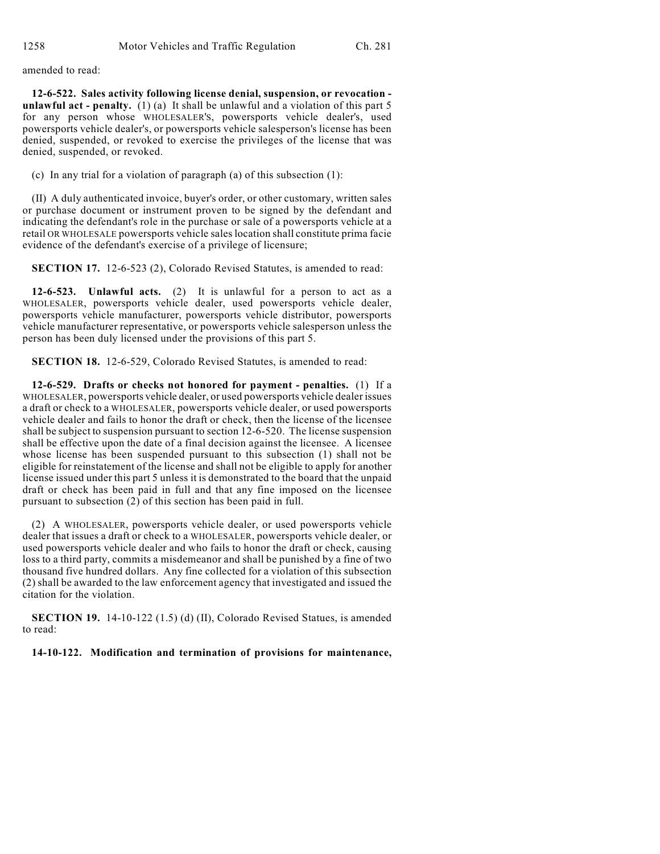amended to read:

**12-6-522. Sales activity following license denial, suspension, or revocation unlawful act - penalty.** (1) (a) It shall be unlawful and a violation of this part 5 for any person whose WHOLESALER'S, powersports vehicle dealer's, used powersports vehicle dealer's, or powersports vehicle salesperson's license has been denied, suspended, or revoked to exercise the privileges of the license that was denied, suspended, or revoked.

(c) In any trial for a violation of paragraph (a) of this subsection (1):

(II) A duly authenticated invoice, buyer's order, or other customary, written sales or purchase document or instrument proven to be signed by the defendant and indicating the defendant's role in the purchase or sale of a powersports vehicle at a retail OR WHOLESALE powersports vehicle sales location shall constitute prima facie evidence of the defendant's exercise of a privilege of licensure;

**SECTION 17.** 12-6-523 (2), Colorado Revised Statutes, is amended to read:

**12-6-523. Unlawful acts.** (2) It is unlawful for a person to act as a WHOLESALER, powersports vehicle dealer, used powersports vehicle dealer, powersports vehicle manufacturer, powersports vehicle distributor, powersports vehicle manufacturer representative, or powersports vehicle salesperson unless the person has been duly licensed under the provisions of this part 5.

**SECTION 18.** 12-6-529, Colorado Revised Statutes, is amended to read:

**12-6-529. Drafts or checks not honored for payment - penalties.** (1) If a WHOLESALER, powersports vehicle dealer, or used powersports vehicle dealer issues a draft or check to a WHOLESALER, powersports vehicle dealer, or used powersports vehicle dealer and fails to honor the draft or check, then the license of the licensee shall be subject to suspension pursuant to section 12-6-520. The license suspension shall be effective upon the date of a final decision against the licensee. A licensee whose license has been suspended pursuant to this subsection (1) shall not be eligible for reinstatement of the license and shall not be eligible to apply for another license issued under this part 5 unless it is demonstrated to the board that the unpaid draft or check has been paid in full and that any fine imposed on the licensee pursuant to subsection (2) of this section has been paid in full.

(2) A WHOLESALER, powersports vehicle dealer, or used powersports vehicle dealer that issues a draft or check to a WHOLESALER, powersports vehicle dealer, or used powersports vehicle dealer and who fails to honor the draft or check, causing loss to a third party, commits a misdemeanor and shall be punished by a fine of two thousand five hundred dollars. Any fine collected for a violation of this subsection (2) shall be awarded to the law enforcement agency that investigated and issued the citation for the violation.

**SECTION 19.** 14-10-122 (1.5) (d) (II), Colorado Revised Statues, is amended to read:

**14-10-122. Modification and termination of provisions for maintenance,**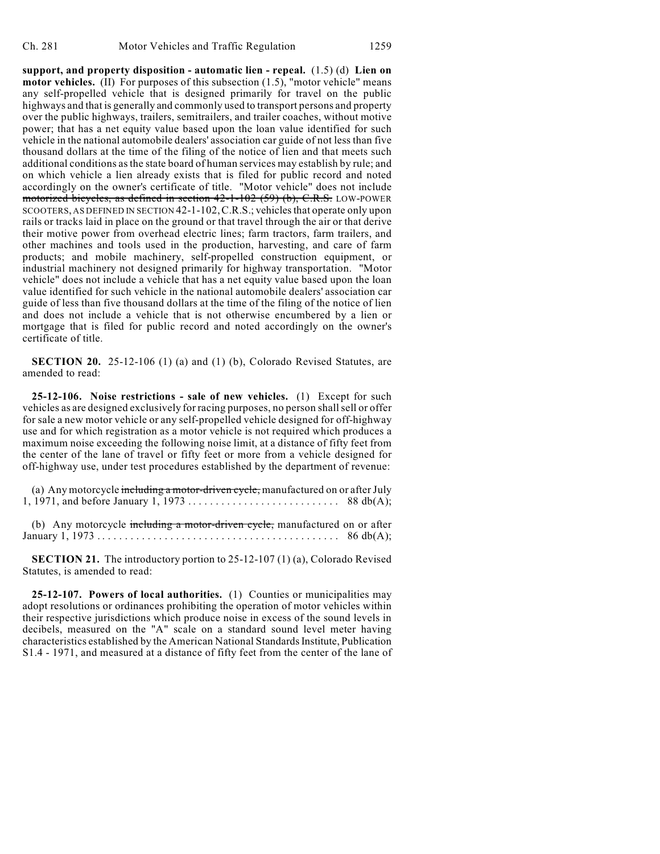**support, and property disposition - automatic lien - repeal.** (1.5) (d) **Lien on motor vehicles.** (II) For purposes of this subsection (1.5), "motor vehicle" means any self-propelled vehicle that is designed primarily for travel on the public highways and that is generally and commonly used to transport persons and property over the public highways, trailers, semitrailers, and trailer coaches, without motive power; that has a net equity value based upon the loan value identified for such vehicle in the national automobile dealers' association car guide of not less than five thousand dollars at the time of the filing of the notice of lien and that meets such additional conditions as the state board of human services may establish by rule; and on which vehicle a lien already exists that is filed for public record and noted accordingly on the owner's certificate of title. "Motor vehicle" does not include motorized bicycles, as defined in section 42-1-102 (59) (b), C.R.S. LOW-POWER SCOOTERS, AS DEFINED IN SECTION 42-1-102,C.R.S.; vehicles that operate only upon rails or tracks laid in place on the ground or that travel through the air or that derive their motive power from overhead electric lines; farm tractors, farm trailers, and other machines and tools used in the production, harvesting, and care of farm products; and mobile machinery, self-propelled construction equipment, or industrial machinery not designed primarily for highway transportation. "Motor vehicle" does not include a vehicle that has a net equity value based upon the loan value identified for such vehicle in the national automobile dealers' association car guide of less than five thousand dollars at the time of the filing of the notice of lien and does not include a vehicle that is not otherwise encumbered by a lien or mortgage that is filed for public record and noted accordingly on the owner's certificate of title.

**SECTION 20.** 25-12-106 (1) (a) and (1) (b), Colorado Revised Statutes, are amended to read:

**25-12-106. Noise restrictions - sale of new vehicles.** (1) Except for such vehicles as are designed exclusively for racing purposes, no person shall sell or offer for sale a new motor vehicle or any self-propelled vehicle designed for off-highway use and for which registration as a motor vehicle is not required which produces a maximum noise exceeding the following noise limit, at a distance of fifty feet from the center of the lane of travel or fifty feet or more from a vehicle designed for off-highway use, under test procedures established by the department of revenue:

(a) Any motorcycle including a motor-driven cycle, manufactured on or after July 1, 1971, and before January 1, 1973 . . . . . . . . . . . . . . . . . . . . . . . . . . . 88 db(A);

(b) Any motorcycle including a motor-driven cycle, manufactured on or after January 1, 1973 . .... .... .... .... .... .... .... .... .... .... . . 86 db(A);

**SECTION 21.** The introductory portion to 25-12-107 (1) (a), Colorado Revised Statutes, is amended to read:

**25-12-107. Powers of local authorities.** (1) Counties or municipalities may adopt resolutions or ordinances prohibiting the operation of motor vehicles within their respective jurisdictions which produce noise in excess of the sound levels in decibels, measured on the "A" scale on a standard sound level meter having characteristics established by the American National Standards Institute, Publication S1.4 - 1971, and measured at a distance of fifty feet from the center of the lane of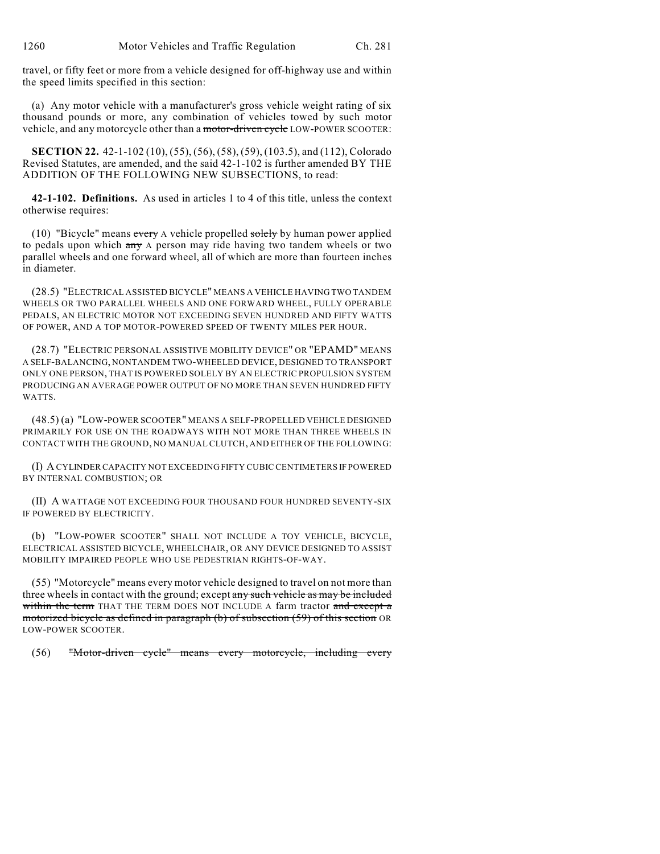travel, or fifty feet or more from a vehicle designed for off-highway use and within the speed limits specified in this section:

(a) Any motor vehicle with a manufacturer's gross vehicle weight rating of six thousand pounds or more, any combination of vehicles towed by such motor vehicle, and any motorcycle other than a motor-driven cycle LOW-POWER SCOOTER:

**SECTION 22.** 42-1-102 (10), (55), (56), (58), (59), (103.5), and (112), Colorado Revised Statutes, are amended, and the said 42-1-102 is further amended BY THE ADDITION OF THE FOLLOWING NEW SUBSECTIONS, to read:

**42-1-102. Definitions.** As used in articles 1 to 4 of this title, unless the context otherwise requires:

(10) "Bicycle" means every A vehicle propelled solely by human power applied to pedals upon which any A person may ride having two tandem wheels or two parallel wheels and one forward wheel, all of which are more than fourteen inches in diameter.

(28.5) "ELECTRICAL ASSISTED BICYCLE" MEANS A VEHICLE HAVING TWO TANDEM WHEELS OR TWO PARALLEL WHEELS AND ONE FORWARD WHEEL, FULLY OPERABLE PEDALS, AN ELECTRIC MOTOR NOT EXCEEDING SEVEN HUNDRED AND FIFTY WATTS OF POWER, AND A TOP MOTOR-POWERED SPEED OF TWENTY MILES PER HOUR.

(28.7) "ELECTRIC PERSONAL ASSISTIVE MOBILITY DEVICE" OR "EPAMD" MEANS A SELF-BALANCING, NONTANDEM TWO-WHEELED DEVICE, DESIGNED TO TRANSPORT ONLY ONE PERSON, THAT IS POWERED SOLELY BY AN ELECTRIC PROPULSION SYSTEM PRODUCING AN AVERAGE POWER OUTPUT OF NO MORE THAN SEVEN HUNDRED FIFTY WATTS.

(48.5) (a) "LOW-POWER SCOOTER" MEANS A SELF-PROPELLED VEHICLE DESIGNED PRIMARILY FOR USE ON THE ROADWAYS WITH NOT MORE THAN THREE WHEELS IN CONTACT WITH THE GROUND, NO MANUAL CLUTCH, AND EITHER OF THE FOLLOWING:

(I) A CYLINDER CAPACITY NOT EXCEEDING FIFTY CUBIC CENTIMETERS IF POWERED BY INTERNAL COMBUSTION; OR

(II) A WATTAGE NOT EXCEEDING FOUR THOUSAND FOUR HUNDRED SEVENTY-SIX IF POWERED BY ELECTRICITY.

(b) "LOW-POWER SCOOTER" SHALL NOT INCLUDE A TOY VEHICLE, BICYCLE, ELECTRICAL ASSISTED BICYCLE, WHEELCHAIR, OR ANY DEVICE DESIGNED TO ASSIST MOBILITY IMPAIRED PEOPLE WHO USE PEDESTRIAN RIGHTS-OF-WAY.

(55) "Motorcycle" means every motor vehicle designed to travel on not more than three wheels in contact with the ground; except any such vehicle as may be included within the term THAT THE TERM DOES NOT INCLUDE A farm tractor and except a motorized bicycle as defined in paragraph (b) of subsection (59) of this section OR LOW-POWER SCOOTER.

(56) "Motor-driven cycle" means every motorcycle, including every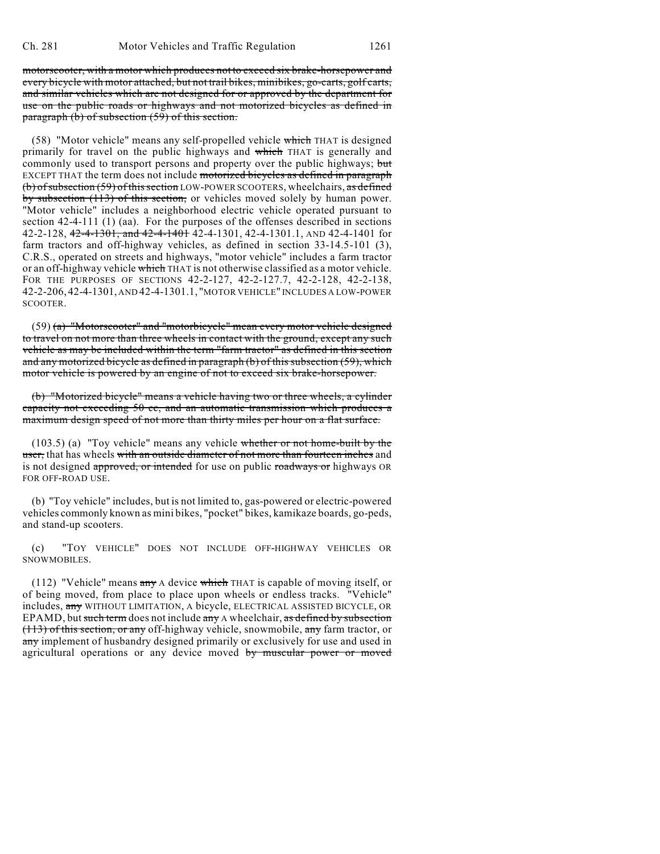motorscooter, with a motor which produces not to exceed six brake-horsepower and every bicycle with motor attached, but not trail bikes, minibikes, go-carts, golf carts, and similar vehicles which are not designed for or approved by the department for use on the public roads or highways and not motorized bicycles as defined in paragraph (b) of subsection (59) of this section.

(58) "Motor vehicle" means any self-propelled vehicle which THAT is designed primarily for travel on the public highways and which THAT is generally and commonly used to transport persons and property over the public highways; but EXCEPT THAT the term does not include motorized bicycles as defined in paragraph (b) of subsection (59) of this section LOW-POWER SCOOTERS, wheelchairs, as defined by subsection (113) of this section, or vehicles moved solely by human power. "Motor vehicle" includes a neighborhood electric vehicle operated pursuant to section 42-4-111 (1) (aa). For the purposes of the offenses described in sections 42-2-128, 42-4-1301, and 42-4-1401 42-4-1301, 42-4-1301.1, AND 42-4-1401 for farm tractors and off-highway vehicles, as defined in section 33-14.5-101 (3), C.R.S., operated on streets and highways, "motor vehicle" includes a farm tractor or an off-highway vehicle which THAT is not otherwise classified as a motor vehicle. FOR THE PURPOSES OF SECTIONS 42-2-127, 42-2-127.7, 42-2-128, 42-2-138, 42-2-206, 42-4-1301, AND 42-4-1301.1, "MOTOR VEHICLE" INCLUDES A LOW-POWER SCOOTER.

(59) (a) "Motorscooter" and "motorbicycle" mean every motor vehicle designed to travel on not more than three wheels in contact with the ground, except any such vehicle as may be included within the term "farm tractor" as defined in this section and any motorized bicycle as defined in paragraph (b) of this subsection (59), which motor vehicle is powered by an engine of not to exceed six brake-horsepower.

(b) "Motorized bicycle" means a vehicle having two or three wheels, a cylinder capacity not exceeding 50 cc, and an automatic transmission which produces a maximum design speed of not more than thirty miles per hour on a flat surface.

(103.5) (a) "Toy vehicle" means any vehicle whether or not home-built by the user, that has wheels with an outside diameter of not more than fourteen inches and is not designed approved, or intended for use on public roadways or highways OR FOR OFF-ROAD USE.

(b) "Toy vehicle" includes, but is not limited to, gas-powered or electric-powered vehicles commonly known as mini bikes, "pocket" bikes, kamikaze boards, go-peds, and stand-up scooters.

(c) "TOY VEHICLE" DOES NOT INCLUDE OFF-HIGHWAY VEHICLES OR SNOWMOBILES.

(112) "Vehicle" means any A device which THAT is capable of moving itself, or of being moved, from place to place upon wheels or endless tracks. "Vehicle" includes, any WITHOUT LIMITATION, A bicycle, ELECTRICAL ASSISTED BICYCLE, OR EPAMD, but such term does not include any A wheelchair, as defined by subsection (113) of this section, or any off-highway vehicle, snowmobile, any farm tractor, or any implement of husbandry designed primarily or exclusively for use and used in agricultural operations or any device moved by muscular power or moved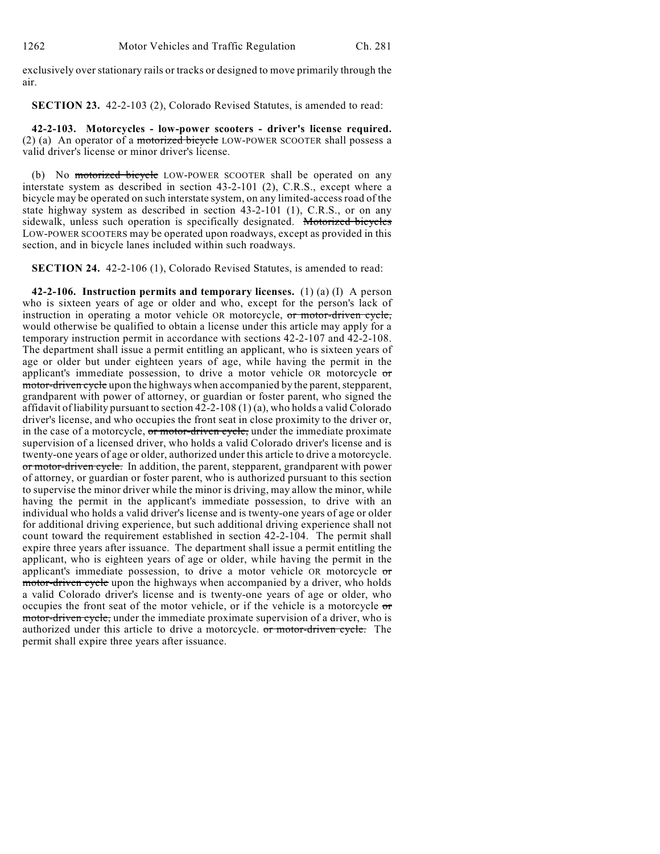exclusively over stationary rails or tracks or designed to move primarily through the air.

**SECTION 23.** 42-2-103 (2), Colorado Revised Statutes, is amended to read:

**42-2-103. Motorcycles - low-power scooters - driver's license required.** (2) (a) An operator of a motorized bicycle LOW-POWER SCOOTER shall possess a valid driver's license or minor driver's license.

(b) No motorized bicycle LOW-POWER SCOOTER shall be operated on any interstate system as described in section 43-2-101 (2), C.R.S., except where a bicycle may be operated on such interstate system, on any limited-access road of the state highway system as described in section 43-2-101 (1), C.R.S., or on any sidewalk, unless such operation is specifically designated. Motorized bicycles LOW-POWER SCOOTERS may be operated upon roadways, except as provided in this section, and in bicycle lanes included within such roadways.

**SECTION 24.** 42-2-106 (1), Colorado Revised Statutes, is amended to read:

**42-2-106. Instruction permits and temporary licenses.** (1) (a) (I) A person who is sixteen years of age or older and who, except for the person's lack of instruction in operating a motor vehicle OR motorcycle, or motor-driven cycle, would otherwise be qualified to obtain a license under this article may apply for a temporary instruction permit in accordance with sections 42-2-107 and 42-2-108. The department shall issue a permit entitling an applicant, who is sixteen years of age or older but under eighteen years of age, while having the permit in the applicant's immediate possession, to drive a motor vehicle OR motorcycle  $\sigma$ motor-driven cycle upon the highways when accompanied by the parent, stepparent, grandparent with power of attorney, or guardian or foster parent, who signed the affidavit of liability pursuant to section  $42$ -2-108 (1)(a), who holds a valid Colorado driver's license, and who occupies the front seat in close proximity to the driver or, in the case of a motorcycle, or motor-driven cycle, under the immediate proximate supervision of a licensed driver, who holds a valid Colorado driver's license and is twenty-one years of age or older, authorized under this article to drive a motorcycle. or motor-driven cycle. In addition, the parent, stepparent, grandparent with power of attorney, or guardian or foster parent, who is authorized pursuant to this section to supervise the minor driver while the minor is driving, may allow the minor, while having the permit in the applicant's immediate possession, to drive with an individual who holds a valid driver's license and is twenty-one years of age or older for additional driving experience, but such additional driving experience shall not count toward the requirement established in section 42-2-104. The permit shall expire three years after issuance. The department shall issue a permit entitling the applicant, who is eighteen years of age or older, while having the permit in the applicant's immediate possession, to drive a motor vehicle OR motorcycle  $\sigma$ motor-driven cycle upon the highways when accompanied by a driver, who holds a valid Colorado driver's license and is twenty-one years of age or older, who occupies the front seat of the motor vehicle, or if the vehicle is a motorcycle or motor-driven cycle, under the immediate proximate supervision of a driver, who is authorized under this article to drive a motorcycle. or motor-driven cycle. The permit shall expire three years after issuance.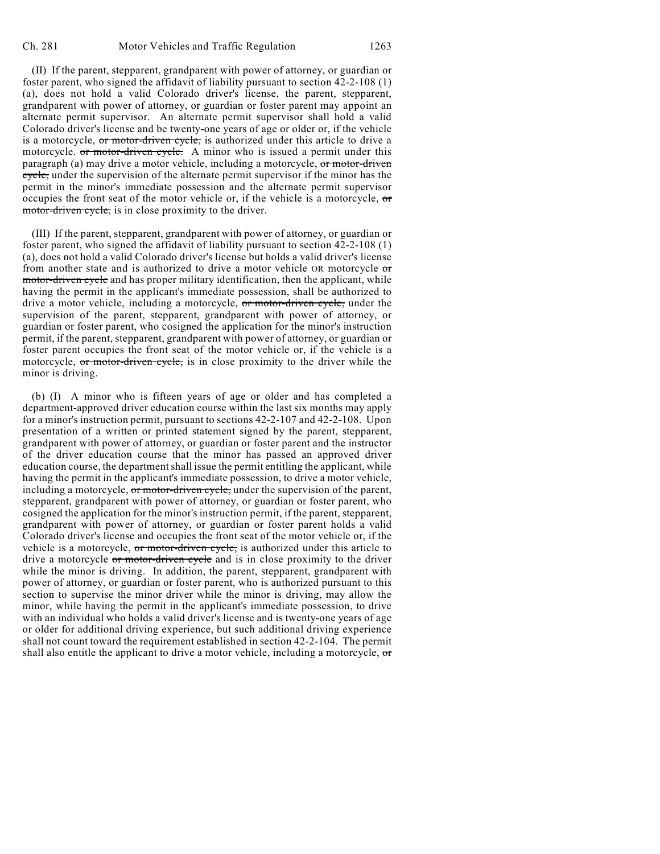(II) If the parent, stepparent, grandparent with power of attorney, or guardian or foster parent, who signed the affidavit of liability pursuant to section 42-2-108 (1) (a), does not hold a valid Colorado driver's license, the parent, stepparent, grandparent with power of attorney, or guardian or foster parent may appoint an alternate permit supervisor. An alternate permit supervisor shall hold a valid Colorado driver's license and be twenty-one years of age or older or, if the vehicle is a motorcycle, or motor-driven cycle, is authorized under this article to drive a motorcycle. or motor-driven cycle. A minor who is issued a permit under this paragraph (a) may drive a motor vehicle, including a motorcycle, or motor-driven cycle, under the supervision of the alternate permit supervisor if the minor has the permit in the minor's immediate possession and the alternate permit supervisor occupies the front seat of the motor vehicle or, if the vehicle is a motorcycle,  $\sigma$ motor-driven cycle, is in close proximity to the driver.

(III) If the parent, stepparent, grandparent with power of attorney, or guardian or foster parent, who signed the affidavit of liability pursuant to section 42-2-108 (1) (a), does not hold a valid Colorado driver's license but holds a valid driver's license from another state and is authorized to drive a motor vehicle OR motorcycle  $\sigma$ motor-driven cycle and has proper military identification, then the applicant, while having the permit in the applicant's immediate possession, shall be authorized to drive a motor vehicle, including a motorcycle, or motor-driven cycle, under the supervision of the parent, stepparent, grandparent with power of attorney, or guardian or foster parent, who cosigned the application for the minor's instruction permit, if the parent, stepparent, grandparent with power of attorney, or guardian or foster parent occupies the front seat of the motor vehicle or, if the vehicle is a motorcycle, or motor-driven cycle, is in close proximity to the driver while the minor is driving.

(b) (I) A minor who is fifteen years of age or older and has completed a department-approved driver education course within the last six months may apply for a minor's instruction permit, pursuant to sections 42-2-107 and 42-2-108. Upon presentation of a written or printed statement signed by the parent, stepparent, grandparent with power of attorney, or guardian or foster parent and the instructor of the driver education course that the minor has passed an approved driver education course, the department shall issue the permit entitling the applicant, while having the permit in the applicant's immediate possession, to drive a motor vehicle, including a motorcycle,  $\sigma r$  motor-driven cycle, under the supervision of the parent, stepparent, grandparent with power of attorney, or guardian or foster parent, who cosigned the application for the minor's instruction permit, if the parent, stepparent, grandparent with power of attorney, or guardian or foster parent holds a valid Colorado driver's license and occupies the front seat of the motor vehicle or, if the vehicle is a motorcycle, or motor-driven cycle, is authorized under this article to drive a motorcycle or motor-driven cycle and is in close proximity to the driver while the minor is driving. In addition, the parent, stepparent, grandparent with power of attorney, or guardian or foster parent, who is authorized pursuant to this section to supervise the minor driver while the minor is driving, may allow the minor, while having the permit in the applicant's immediate possession, to drive with an individual who holds a valid driver's license and is twenty-one years of age or older for additional driving experience, but such additional driving experience shall not count toward the requirement established in section 42-2-104. The permit shall also entitle the applicant to drive a motor vehicle, including a motorcycle, or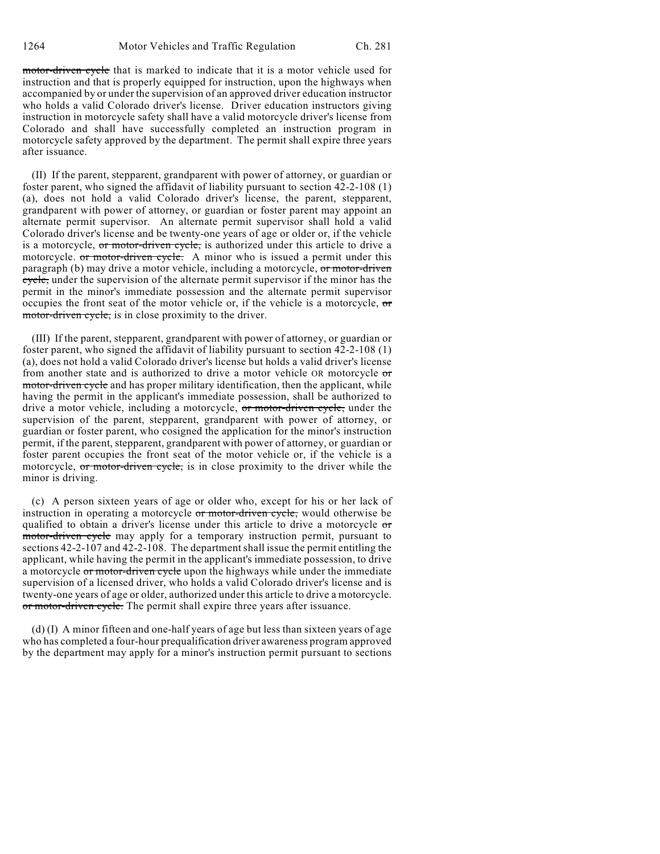motor-driven cycle that is marked to indicate that it is a motor vehicle used for instruction and that is properly equipped for instruction, upon the highways when accompanied by or under the supervision of an approved driver education instructor who holds a valid Colorado driver's license. Driver education instructors giving instruction in motorcycle safety shall have a valid motorcycle driver's license from Colorado and shall have successfully completed an instruction program in motorcycle safety approved by the department. The permit shall expire three years after issuance.

(II) If the parent, stepparent, grandparent with power of attorney, or guardian or foster parent, who signed the affidavit of liability pursuant to section 42-2-108 (1) (a), does not hold a valid Colorado driver's license, the parent, stepparent, grandparent with power of attorney, or guardian or foster parent may appoint an alternate permit supervisor. An alternate permit supervisor shall hold a valid Colorado driver's license and be twenty-one years of age or older or, if the vehicle is a motorcycle, or motor-driven cycle, is authorized under this article to drive a motorcycle. or motor-driven cycle. A minor who is issued a permit under this paragraph (b) may drive a motor vehicle, including a motorcycle, or motor-driven cycle, under the supervision of the alternate permit supervisor if the minor has the permit in the minor's immediate possession and the alternate permit supervisor occupies the front seat of the motor vehicle or, if the vehicle is a motorcycle, or motor-driven cycle, is in close proximity to the driver.

(III) If the parent, stepparent, grandparent with power of attorney, or guardian or foster parent, who signed the affidavit of liability pursuant to section 42-2-108 (1) (a), does not hold a valid Colorado driver's license but holds a valid driver's license from another state and is authorized to drive a motor vehicle OR motorcycle or motor-driven cycle and has proper military identification, then the applicant, while having the permit in the applicant's immediate possession, shall be authorized to drive a motor vehicle, including a motorcycle, or motor-driven cycle, under the supervision of the parent, stepparent, grandparent with power of attorney, or guardian or foster parent, who cosigned the application for the minor's instruction permit, if the parent, stepparent, grandparent with power of attorney, or guardian or foster parent occupies the front seat of the motor vehicle or, if the vehicle is a motorcycle, or motor-driven cycle, is in close proximity to the driver while the minor is driving.

(c) A person sixteen years of age or older who, except for his or her lack of instruction in operating a motorcycle or motor-driven cycle, would otherwise be qualified to obtain a driver's license under this article to drive a motorcycle or motor-driven cycle may apply for a temporary instruction permit, pursuant to sections 42-2-107 and 42-2-108. The department shall issue the permit entitling the applicant, while having the permit in the applicant's immediate possession, to drive a motorcycle or motor-driven cycle upon the highways while under the immediate supervision of a licensed driver, who holds a valid Colorado driver's license and is twenty-one years of age or older, authorized under this article to drive a motorcycle. or motor-driven cycle. The permit shall expire three years after issuance.

(d) (I) A minor fifteen and one-half years of age but less than sixteen years of age who has completed a four-hour prequalification driver awareness program approved by the department may apply for a minor's instruction permit pursuant to sections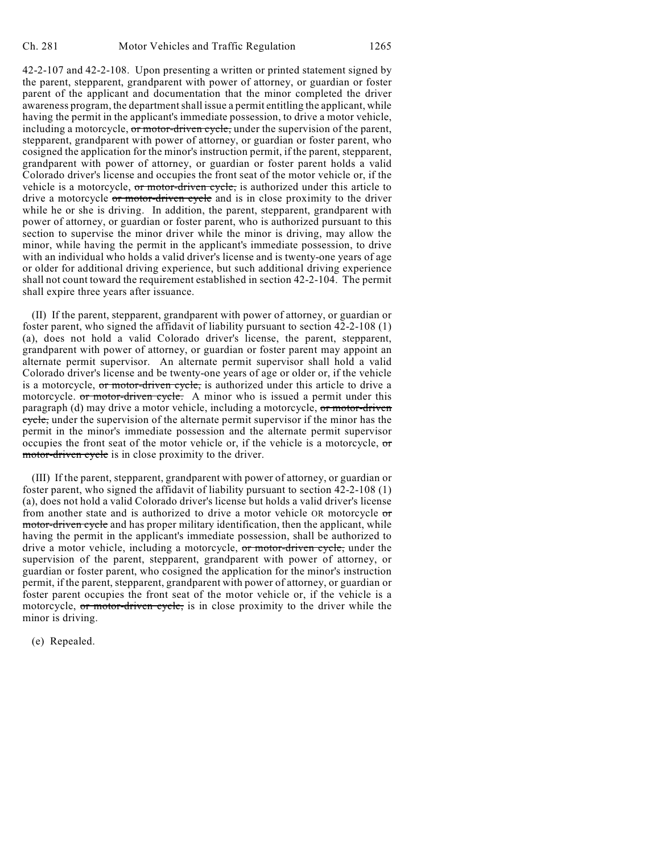42-2-107 and 42-2-108. Upon presenting a written or printed statement signed by the parent, stepparent, grandparent with power of attorney, or guardian or foster parent of the applicant and documentation that the minor completed the driver awareness program, the department shall issue a permit entitling the applicant, while having the permit in the applicant's immediate possession, to drive a motor vehicle, including a motorcycle, or motor-driven cycle, under the supervision of the parent, stepparent, grandparent with power of attorney, or guardian or foster parent, who cosigned the application for the minor's instruction permit, if the parent, stepparent, grandparent with power of attorney, or guardian or foster parent holds a valid Colorado driver's license and occupies the front seat of the motor vehicle or, if the vehicle is a motorcycle, or motor-driven cycle, is authorized under this article to drive a motorcycle or motor-driven cycle and is in close proximity to the driver while he or she is driving. In addition, the parent, stepparent, grandparent with power of attorney, or guardian or foster parent, who is authorized pursuant to this section to supervise the minor driver while the minor is driving, may allow the minor, while having the permit in the applicant's immediate possession, to drive with an individual who holds a valid driver's license and is twenty-one years of age or older for additional driving experience, but such additional driving experience shall not count toward the requirement established in section 42-2-104. The permit shall expire three years after issuance.

(II) If the parent, stepparent, grandparent with power of attorney, or guardian or foster parent, who signed the affidavit of liability pursuant to section 42-2-108 (1) (a), does not hold a valid Colorado driver's license, the parent, stepparent, grandparent with power of attorney, or guardian or foster parent may appoint an alternate permit supervisor. An alternate permit supervisor shall hold a valid Colorado driver's license and be twenty-one years of age or older or, if the vehicle is a motorcycle, or motor-driven cycle, is authorized under this article to drive a motorcycle. or motor-driven cycle. A minor who is issued a permit under this paragraph (d) may drive a motor vehicle, including a motorcycle, or motor-driven cycle, under the supervision of the alternate permit supervisor if the minor has the permit in the minor's immediate possession and the alternate permit supervisor occupies the front seat of the motor vehicle or, if the vehicle is a motorcycle, or motor-driven cycle is in close proximity to the driver.

(III) If the parent, stepparent, grandparent with power of attorney, or guardian or foster parent, who signed the affidavit of liability pursuant to section 42-2-108 (1) (a), does not hold a valid Colorado driver's license but holds a valid driver's license from another state and is authorized to drive a motor vehicle OR motorcycle or motor-driven cycle and has proper military identification, then the applicant, while having the permit in the applicant's immediate possession, shall be authorized to drive a motor vehicle, including a motorcycle, or motor-driven cycle, under the supervision of the parent, stepparent, grandparent with power of attorney, or guardian or foster parent, who cosigned the application for the minor's instruction permit, if the parent, stepparent, grandparent with power of attorney, or guardian or foster parent occupies the front seat of the motor vehicle or, if the vehicle is a motorcycle, or motor-driven cycle, is in close proximity to the driver while the minor is driving.

(e) Repealed.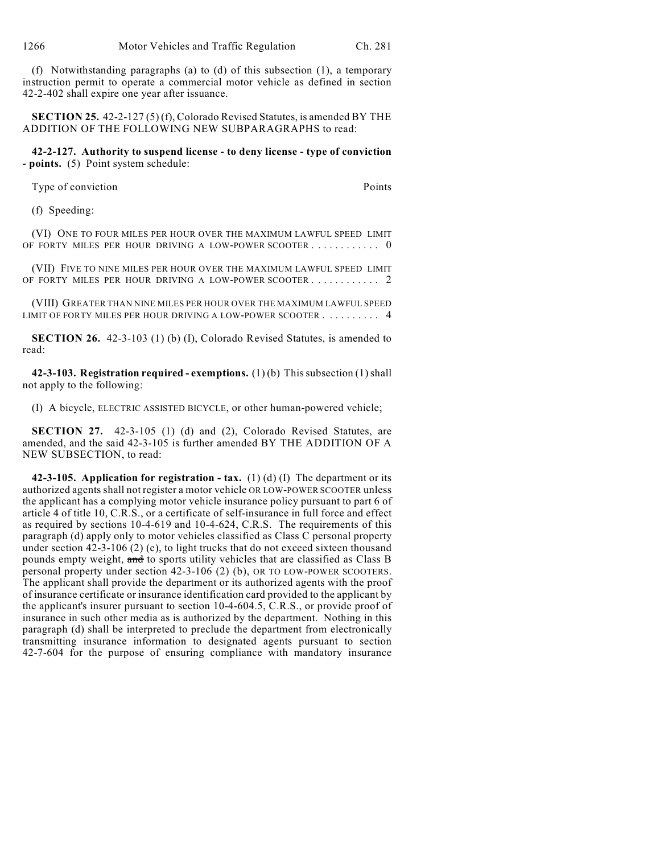(f) Notwithstanding paragraphs (a) to (d) of this subsection (1), a temporary instruction permit to operate a commercial motor vehicle as defined in section 42-2-402 shall expire one year after issuance.

**SECTION 25.** 42-2-127 (5) (f), Colorado Revised Statutes, is amended BY THE ADDITION OF THE FOLLOWING NEW SUBPARAGRAPHS to read:

**42-2-127. Authority to suspend license - to deny license - type of conviction - points.** (5) Point system schedule:

Type of conviction **Points** 

(f) Speeding:

(VI) ONE TO FOUR MILES PER HOUR OVER THE MAXIMUM LAWFUL SPEED LIMIT OF FORTY MILES PER HOUR DRIVING A LOW-POWER SCOOTER . . . . . . . . . . . . 0

(VII) FIVE TO NINE MILES PER HOUR OVER THE MAXIMUM LAWFUL SPEED LIMIT OF FORTY MILES PER HOUR DRIVING A LOW-POWER SCOOTER . . . . . . . . . . . 2

(VIII) GREATER THAN NINE MILES PER HOUR OVER THE MAXIMUM LAWFUL SPEED LIMIT OF FORTY MILES PER HOUR DRIVING A LOW-POWER SCOOTER . . . . . . . . . . 4

**SECTION 26.** 42-3-103 (1) (b) (I), Colorado Revised Statutes, is amended to read:

**42-3-103. Registration required - exemptions.** (1) (b) This subsection (1) shall not apply to the following:

(I) A bicycle, ELECTRIC ASSISTED BICYCLE, or other human-powered vehicle;

**SECTION 27.** 42-3-105 (1) (d) and (2), Colorado Revised Statutes, are amended, and the said 42-3-105 is further amended BY THE ADDITION OF A NEW SUBSECTION, to read:

**42-3-105. Application for registration - tax.** (1) (d) (I) The department or its authorized agents shall not register a motor vehicle OR LOW-POWER SCOOTER unless the applicant has a complying motor vehicle insurance policy pursuant to part 6 of article 4 of title 10, C.R.S., or a certificate of self-insurance in full force and effect as required by sections 10-4-619 and 10-4-624, C.R.S. The requirements of this paragraph (d) apply only to motor vehicles classified as Class C personal property under section 42-3-106 (2) (c), to light trucks that do not exceed sixteen thousand pounds empty weight, and to sports utility vehicles that are classified as Class B personal property under section 42-3-106 (2) (b), OR TO LOW-POWER SCOOTERS. The applicant shall provide the department or its authorized agents with the proof of insurance certificate or insurance identification card provided to the applicant by the applicant's insurer pursuant to section 10-4-604.5, C.R.S., or provide proof of insurance in such other media as is authorized by the department. Nothing in this paragraph (d) shall be interpreted to preclude the department from electronically transmitting insurance information to designated agents pursuant to section 42-7-604 for the purpose of ensuring compliance with mandatory insurance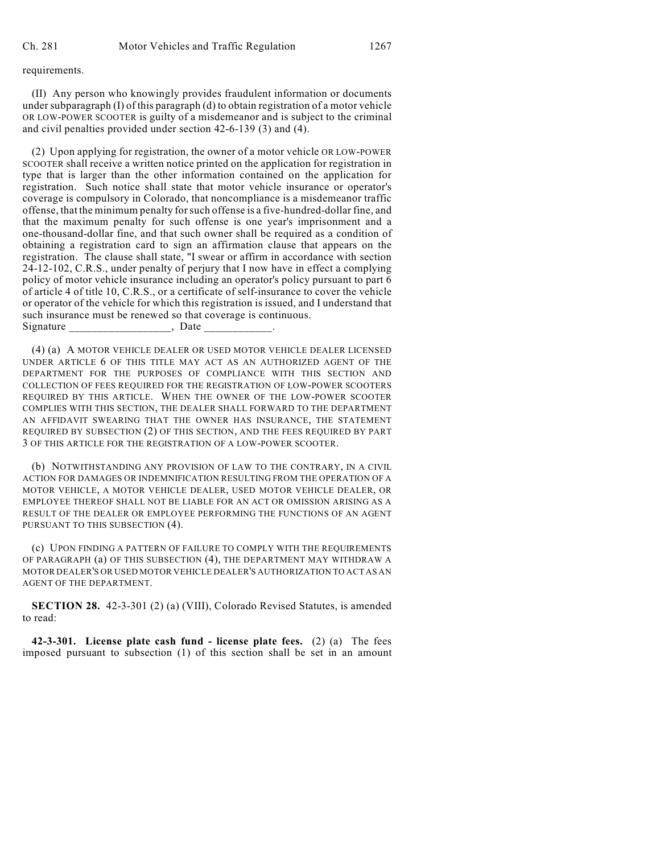requirements.

(II) Any person who knowingly provides fraudulent information or documents under subparagraph (I) of this paragraph (d) to obtain registration of a motor vehicle OR LOW-POWER SCOOTER is guilty of a misdemeanor and is subject to the criminal and civil penalties provided under section 42-6-139 (3) and (4).

(2) Upon applying for registration, the owner of a motor vehicle OR LOW-POWER SCOOTER shall receive a written notice printed on the application for registration in type that is larger than the other information contained on the application for registration. Such notice shall state that motor vehicle insurance or operator's coverage is compulsory in Colorado, that noncompliance is a misdemeanor traffic offense, that the minimum penalty forsuch offense is a five-hundred-dollar fine, and that the maximum penalty for such offense is one year's imprisonment and a one-thousand-dollar fine, and that such owner shall be required as a condition of obtaining a registration card to sign an affirmation clause that appears on the registration. The clause shall state, "I swear or affirm in accordance with section 24-12-102, C.R.S., under penalty of perjury that I now have in effect a complying policy of motor vehicle insurance including an operator's policy pursuant to part 6 of article 4 of title 10, C.R.S., or a certificate of self-insurance to cover the vehicle or operator of the vehicle for which this registration is issued, and I understand that such insurance must be renewed so that coverage is continuous. Signature , Date

(4) (a) A MOTOR VEHICLE DEALER OR USED MOTOR VEHICLE DEALER LICENSED UNDER ARTICLE 6 OF THIS TITLE MAY ACT AS AN AUTHORIZED AGENT OF THE DEPARTMENT FOR THE PURPOSES OF COMPLIANCE WITH THIS SECTION AND COLLECTION OF FEES REQUIRED FOR THE REGISTRATION OF LOW-POWER SCOOTERS REQUIRED BY THIS ARTICLE. WHEN THE OWNER OF THE LOW-POWER SCOOTER COMPLIES WITH THIS SECTION, THE DEALER SHALL FORWARD TO THE DEPARTMENT AN AFFIDAVIT SWEARING THAT THE OWNER HAS INSURANCE, THE STATEMENT REQUIRED BY SUBSECTION (2) OF THIS SECTION, AND THE FEES REQUIRED BY PART 3 OF THIS ARTICLE FOR THE REGISTRATION OF A LOW-POWER SCOOTER.

(b) NOTWITHSTANDING ANY PROVISION OF LAW TO THE CONTRARY, IN A CIVIL ACTION FOR DAMAGES OR INDEMNIFICATION RESULTING FROM THE OPERATION OF A MOTOR VEHICLE, A MOTOR VEHICLE DEALER, USED MOTOR VEHICLE DEALER, OR EMPLOYEE THEREOF SHALL NOT BE LIABLE FOR AN ACT OR OMISSION ARISING AS A RESULT OF THE DEALER OR EMPLOYEE PERFORMING THE FUNCTIONS OF AN AGENT PURSUANT TO THIS SUBSECTION (4).

(c) UPON FINDING A PATTERN OF FAILURE TO COMPLY WITH THE REQUIREMENTS OF PARAGRAPH (a) OF THIS SUBSECTION (4), THE DEPARTMENT MAY WITHDRAW A MOTOR DEALER'S OR USED MOTOR VEHICLE DEALER'S AUTHORIZATION TO ACT AS AN AGENT OF THE DEPARTMENT.

**SECTION 28.** 42-3-301 (2) (a) (VIII), Colorado Revised Statutes, is amended to read:

**42-3-301. License plate cash fund - license plate fees.** (2) (a) The fees imposed pursuant to subsection (1) of this section shall be set in an amount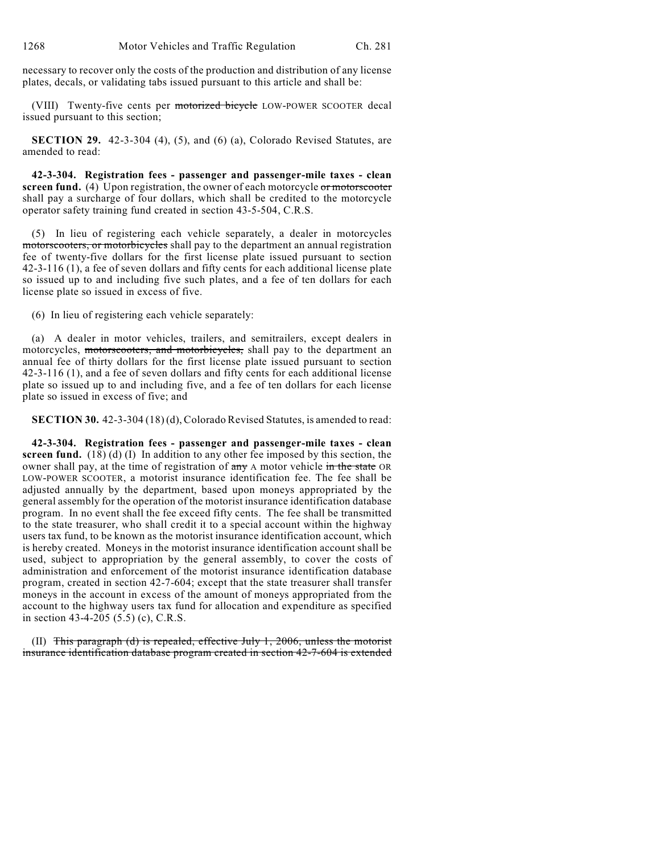necessary to recover only the costs of the production and distribution of any license plates, decals, or validating tabs issued pursuant to this article and shall be:

(VIII) Twenty-five cents per motorized bicycle LOW-POWER SCOOTER decal issued pursuant to this section;

**SECTION 29.** 42-3-304 (4), (5), and (6) (a), Colorado Revised Statutes, are amended to read:

**42-3-304. Registration fees - passenger and passenger-mile taxes - clean screen fund.** (4) Upon registration, the owner of each motorcycle or motorscooter shall pay a surcharge of four dollars, which shall be credited to the motorcycle operator safety training fund created in section 43-5-504, C.R.S.

(5) In lieu of registering each vehicle separately, a dealer in motorcycles motorscooters, or motorbicycles shall pay to the department an annual registration fee of twenty-five dollars for the first license plate issued pursuant to section 42-3-116 (1), a fee of seven dollars and fifty cents for each additional license plate so issued up to and including five such plates, and a fee of ten dollars for each license plate so issued in excess of five.

(6) In lieu of registering each vehicle separately:

(a) A dealer in motor vehicles, trailers, and semitrailers, except dealers in motorcycles, motorscooters, and motorbicycles, shall pay to the department an annual fee of thirty dollars for the first license plate issued pursuant to section 42-3-116 (1), and a fee of seven dollars and fifty cents for each additional license plate so issued up to and including five, and a fee of ten dollars for each license plate so issued in excess of five; and

**SECTION 30.** 42-3-304 (18) (d), Colorado Revised Statutes, is amended to read:

**42-3-304. Registration fees - passenger and passenger-mile taxes - clean screen fund.** (18) (d) (I) In addition to any other fee imposed by this section, the owner shall pay, at the time of registration of any A motor vehicle in the state OR LOW-POWER SCOOTER, a motorist insurance identification fee. The fee shall be adjusted annually by the department, based upon moneys appropriated by the general assembly for the operation of the motorist insurance identification database program. In no event shall the fee exceed fifty cents. The fee shall be transmitted to the state treasurer, who shall credit it to a special account within the highway users tax fund, to be known as the motorist insurance identification account, which is hereby created. Moneys in the motorist insurance identification account shall be used, subject to appropriation by the general assembly, to cover the costs of administration and enforcement of the motorist insurance identification database program, created in section 42-7-604; except that the state treasurer shall transfer moneys in the account in excess of the amount of moneys appropriated from the account to the highway users tax fund for allocation and expenditure as specified in section 43-4-205 (5.5) (c), C.R.S.

(II) This paragraph  $(d)$  is repealed, effective July 1, 2006, unless the motorist insurance identification database program created in section 42-7-604 is extended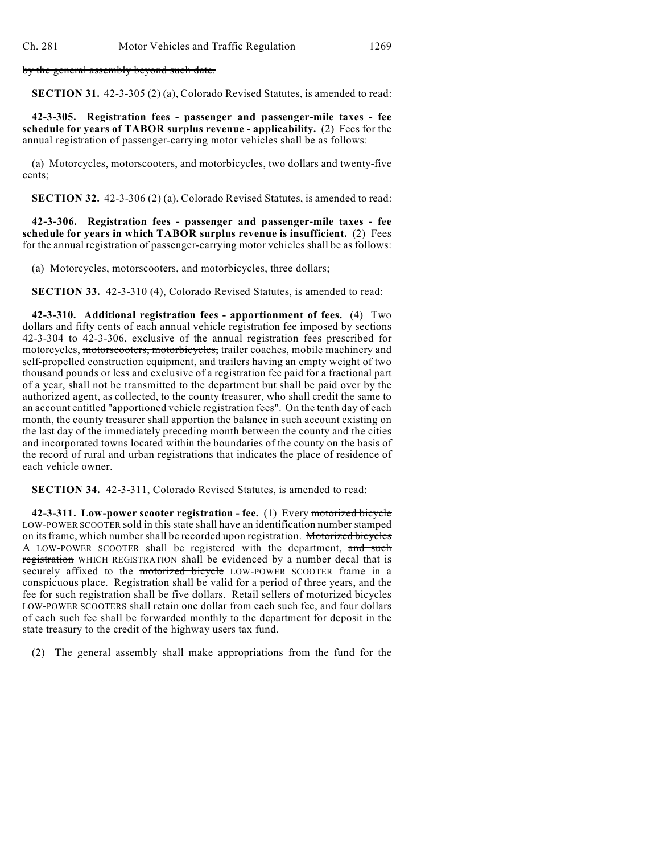by the general assembly beyond such date.

**SECTION 31.** 42-3-305 (2) (a), Colorado Revised Statutes, is amended to read:

**42-3-305. Registration fees - passenger and passenger-mile taxes - fee schedule for years of TABOR surplus revenue - applicability.** (2) Fees for the annual registration of passenger-carrying motor vehicles shall be as follows:

(a) Motorcycles, motorscooters, and motorbicycles, two dollars and twenty-five cents;

**SECTION 32.** 42-3-306 (2) (a), Colorado Revised Statutes, is amended to read:

**42-3-306. Registration fees - passenger and passenger-mile taxes - fee schedule for years in which TABOR surplus revenue is insufficient.** (2) Fees for the annual registration of passenger-carrying motor vehicles shall be as follows:

(a) Motorcycles, motorscooters, and motorbicycles, three dollars;

**SECTION 33.** 42-3-310 (4), Colorado Revised Statutes, is amended to read:

**42-3-310. Additional registration fees - apportionment of fees.** (4) Two dollars and fifty cents of each annual vehicle registration fee imposed by sections 42-3-304 to 42-3-306, exclusive of the annual registration fees prescribed for motorcycles, motorscooters, motorbicycles, trailer coaches, mobile machinery and self-propelled construction equipment, and trailers having an empty weight of two thousand pounds or less and exclusive of a registration fee paid for a fractional part of a year, shall not be transmitted to the department but shall be paid over by the authorized agent, as collected, to the county treasurer, who shall credit the same to an account entitled "apportioned vehicle registration fees". On the tenth day of each month, the county treasurer shall apportion the balance in such account existing on the last day of the immediately preceding month between the county and the cities and incorporated towns located within the boundaries of the county on the basis of the record of rural and urban registrations that indicates the place of residence of each vehicle owner.

**SECTION 34.** 42-3-311, Colorado Revised Statutes, is amended to read:

**42-3-311. Low-power scooter registration - fee.** (1) Every motorized bicycle LOW-POWER SCOOTER sold in this state shall have an identification number stamped on its frame, which number shall be recorded upon registration. Motorized bicycles A LOW-POWER SCOOTER shall be registered with the department, and such registration WHICH REGISTRATION shall be evidenced by a number decal that is securely affixed to the motorized bicycle LOW-POWER SCOOTER frame in a conspicuous place. Registration shall be valid for a period of three years, and the fee for such registration shall be five dollars. Retail sellers of motorized bicycles LOW-POWER SCOOTERS shall retain one dollar from each such fee, and four dollars of each such fee shall be forwarded monthly to the department for deposit in the state treasury to the credit of the highway users tax fund.

(2) The general assembly shall make appropriations from the fund for the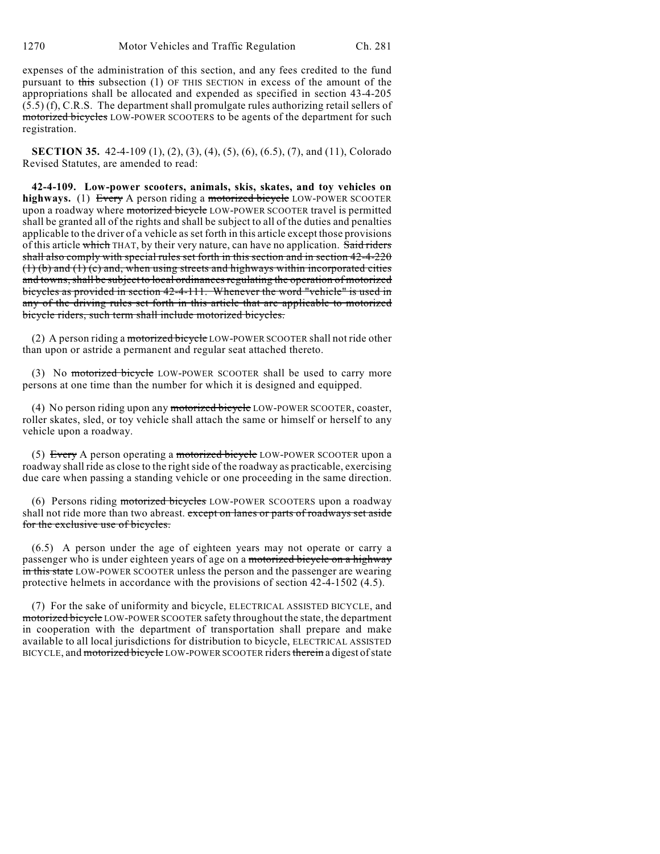expenses of the administration of this section, and any fees credited to the fund pursuant to this subsection (1) OF THIS SECTION in excess of the amount of the appropriations shall be allocated and expended as specified in section 43-4-205 (5.5) (f), C.R.S. The department shall promulgate rules authorizing retail sellers of motorized bicycles LOW-POWER SCOOTERS to be agents of the department for such registration.

**SECTION 35.** 42-4-109 (1), (2), (3), (4), (5), (6), (6.5), (7), and (11), Colorado Revised Statutes, are amended to read:

**42-4-109. Low-power scooters, animals, skis, skates, and toy vehicles on highways.** (1) Every A person riding a motorized bicycle LOW-POWER SCOOTER upon a roadway where motorized bicycle LOW-POWER SCOOTER travel is permitted shall be granted all of the rights and shall be subject to all of the duties and penalties applicable to the driver of a vehicle as set forth in this article except those provisions of this article which THAT, by their very nature, can have no application. Said riders shall also comply with special rules set forth in this section and in section 42-4-220  $(1)$  (b) and  $(1)$  (c) and, when using streets and highways within incorporated cities and towns, shall be subject to local ordinances regulating the operation of motorized bicycles as provided in section 42-4-111. Whenever the word "vehicle" is used in any of the driving rules set forth in this article that are applicable to motorized bicycle riders, such term shall include motorized bicycles.

(2) A person riding a motorized bicycle LOW-POWER SCOOTER shall not ride other than upon or astride a permanent and regular seat attached thereto.

(3) No motorized bicycle LOW-POWER SCOOTER shall be used to carry more persons at one time than the number for which it is designed and equipped.

(4) No person riding upon any motorized bicycle LOW-POWER SCOOTER, coaster, roller skates, sled, or toy vehicle shall attach the same or himself or herself to any vehicle upon a roadway.

(5) Every A person operating a motorized bicycle LOW-POWER SCOOTER upon a roadway shall ride as close to the right side of the roadway as practicable, exercising due care when passing a standing vehicle or one proceeding in the same direction.

(6) Persons riding motorized bicycles LOW-POWER SCOOTERS upon a roadway shall not ride more than two abreast. except on lanes or parts of roadways set aside for the exclusive use of bicycles.

(6.5) A person under the age of eighteen years may not operate or carry a passenger who is under eighteen years of age on a motorized bicycle on a highway in this state LOW-POWER SCOOTER unless the person and the passenger are wearing protective helmets in accordance with the provisions of section 42-4-1502 (4.5).

(7) For the sake of uniformity and bicycle, ELECTRICAL ASSISTED BICYCLE, and motorized bicycle LOW-POWER SCOOTER safety throughout the state, the department in cooperation with the department of transportation shall prepare and make available to all local jurisdictions for distribution to bicycle, ELECTRICAL ASSISTED BICYCLE, and motorized bicycle LOW-POWER SCOOTER riders therein a digest of state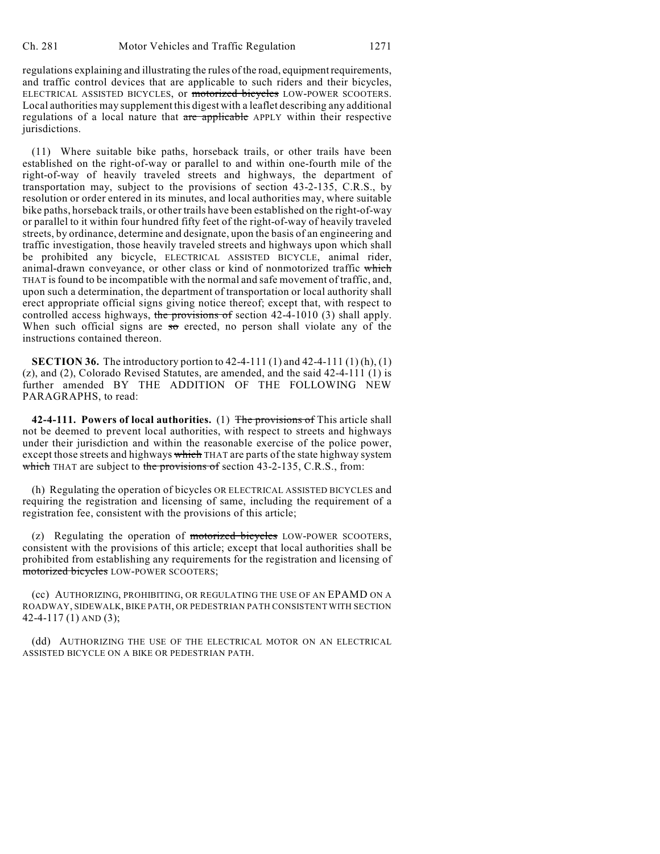regulations explaining and illustrating the rules of the road, equipment requirements, and traffic control devices that are applicable to such riders and their bicycles, ELECTRICAL ASSISTED BICYCLES, or motorized bicycles LOW-POWER SCOOTERS. Local authorities may supplement this digest with a leaflet describing any additional regulations of a local nature that are applicable APPLY within their respective jurisdictions.

(11) Where suitable bike paths, horseback trails, or other trails have been established on the right-of-way or parallel to and within one-fourth mile of the right-of-way of heavily traveled streets and highways, the department of transportation may, subject to the provisions of section 43-2-135, C.R.S., by resolution or order entered in its minutes, and local authorities may, where suitable bike paths, horseback trails, or other trails have been established on the right-of-way or parallel to it within four hundred fifty feet of the right-of-way of heavily traveled streets, by ordinance, determine and designate, upon the basis of an engineering and traffic investigation, those heavily traveled streets and highways upon which shall be prohibited any bicycle, ELECTRICAL ASSISTED BICYCLE, animal rider, animal-drawn conveyance, or other class or kind of nonmotorized traffic which THAT is found to be incompatible with the normal and safe movement of traffic, and, upon such a determination, the department of transportation or local authority shall erect appropriate official signs giving notice thereof; except that, with respect to controlled access highways, the provisions of section 42-4-1010 (3) shall apply. When such official signs are  $\frac{1}{50}$  erected, no person shall violate any of the instructions contained thereon.

**SECTION 36.** The introductory portion to 42-4-111 (1) and 42-4-111 (1) (h), (1) (z), and (2), Colorado Revised Statutes, are amended, and the said 42-4-111 (1) is further amended BY THE ADDITION OF THE FOLLOWING NEW PARAGRAPHS, to read:

**42-4-111. Powers of local authorities.** (1) The provisions of This article shall not be deemed to prevent local authorities, with respect to streets and highways under their jurisdiction and within the reasonable exercise of the police power, except those streets and highways which THAT are parts of the state highway system which THAT are subject to the provisions of section  $43-2-135$ , C.R.S., from:

(h) Regulating the operation of bicycles OR ELECTRICAL ASSISTED BICYCLES and requiring the registration and licensing of same, including the requirement of a registration fee, consistent with the provisions of this article;

(z) Regulating the operation of motorized bicycles LOW-POWER SCOOTERS, consistent with the provisions of this article; except that local authorities shall be prohibited from establishing any requirements for the registration and licensing of motorized bicycles LOW-POWER SCOOTERS;

(cc) AUTHORIZING, PROHIBITING, OR REGULATING THE USE OF AN EPAMD ON A ROADWAY, SIDEWALK, BIKE PATH, OR PEDESTRIAN PATH CONSISTENT WITH SECTION 42-4-117 (1) AND (3);

(dd) AUTHORIZING THE USE OF THE ELECTRICAL MOTOR ON AN ELECTRICAL ASSISTED BICYCLE ON A BIKE OR PEDESTRIAN PATH.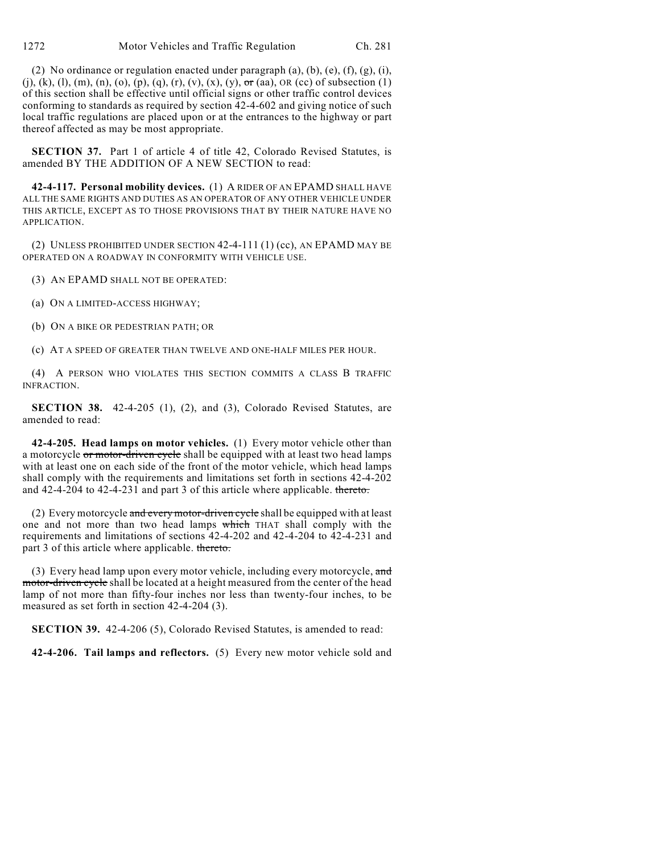(2) No ordinance or regulation enacted under paragraph  $(a)$ ,  $(b)$ ,  $(e)$ ,  $(f)$ ,  $(g)$ ,  $(i)$ , (j), (k), (l), (m), (n), (o), (p), (q), (r), (v), (x), (y),  $\sigma$ r (aa), OR (cc) of subsection (1) of this section shall be effective until official signs or other traffic control devices conforming to standards as required by section 42-4-602 and giving notice of such local traffic regulations are placed upon or at the entrances to the highway or part thereof affected as may be most appropriate.

**SECTION 37.** Part 1 of article 4 of title 42, Colorado Revised Statutes, is amended BY THE ADDITION OF A NEW SECTION to read:

**42-4-117. Personal mobility devices.** (1) A RIDER OF AN EPAMD SHALL HAVE ALL THE SAME RIGHTS AND DUTIES AS AN OPERATOR OF ANY OTHER VEHICLE UNDER THIS ARTICLE, EXCEPT AS TO THOSE PROVISIONS THAT BY THEIR NATURE HAVE NO APPLICATION.

(2) UNLESS PROHIBITED UNDER SECTION 42-4-111 (1) (cc), AN EPAMD MAY BE OPERATED ON A ROADWAY IN CONFORMITY WITH VEHICLE USE.

(3) AN EPAMD SHALL NOT BE OPERATED:

(a) ON A LIMITED-ACCESS HIGHWAY;

(b) ON A BIKE OR PEDESTRIAN PATH; OR

(c) AT A SPEED OF GREATER THAN TWELVE AND ONE-HALF MILES PER HOUR.

(4) A PERSON WHO VIOLATES THIS SECTION COMMITS A CLASS B TRAFFIC INFRACTION.

**SECTION 38.** 42-4-205 (1), (2), and (3), Colorado Revised Statutes, are amended to read:

**42-4-205. Head lamps on motor vehicles.** (1) Every motor vehicle other than a motorcycle or motor-driven cycle shall be equipped with at least two head lamps with at least one on each side of the front of the motor vehicle, which head lamps shall comply with the requirements and limitations set forth in sections 42-4-202 and 42-4-204 to 42-4-231 and part 3 of this article where applicable. thereto.

(2) Every motorcycle and every motor-driven cycle shall be equipped with at least one and not more than two head lamps which THAT shall comply with the requirements and limitations of sections 42-4-202 and 42-4-204 to 42-4-231 and part 3 of this article where applicable. thereto.

(3) Every head lamp upon every motor vehicle, including every motorcycle,  $\alpha$ nd motor-driven cycle shall be located at a height measured from the center of the head lamp of not more than fifty-four inches nor less than twenty-four inches, to be measured as set forth in section 42-4-204 (3).

**SECTION 39.** 42-4-206 (5), Colorado Revised Statutes, is amended to read:

**42-4-206. Tail lamps and reflectors.** (5) Every new motor vehicle sold and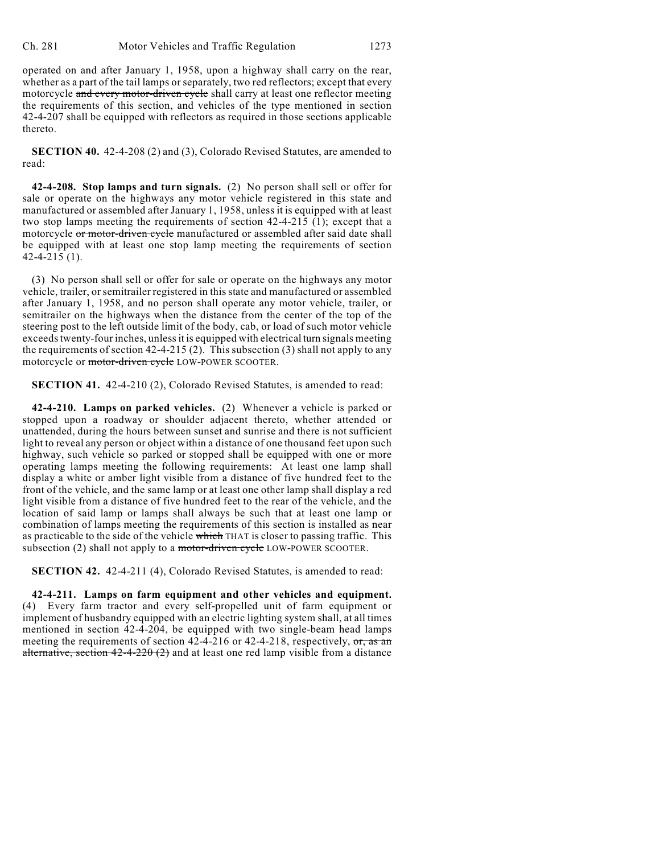operated on and after January 1, 1958, upon a highway shall carry on the rear, whether as a part of the tail lamps or separately, two red reflectors; except that every motorcycle and every motor-driven cycle shall carry at least one reflector meeting the requirements of this section, and vehicles of the type mentioned in section 42-4-207 shall be equipped with reflectors as required in those sections applicable thereto.

**SECTION 40.** 42-4-208 (2) and (3), Colorado Revised Statutes, are amended to read:

**42-4-208. Stop lamps and turn signals.** (2) No person shall sell or offer for sale or operate on the highways any motor vehicle registered in this state and manufactured or assembled after January 1, 1958, unless it is equipped with at least two stop lamps meeting the requirements of section 42-4-215 (1); except that a motorcycle or motor-driven cycle manufactured or assembled after said date shall be equipped with at least one stop lamp meeting the requirements of section 42-4-215 (1).

(3) No person shall sell or offer for sale or operate on the highways any motor vehicle, trailer, orsemitrailer registered in this state and manufactured or assembled after January 1, 1958, and no person shall operate any motor vehicle, trailer, or semitrailer on the highways when the distance from the center of the top of the steering post to the left outside limit of the body, cab, or load of such motor vehicle exceeds twenty-four inches, unless it is equipped with electrical turn signals meeting the requirements of section 42-4-215 (2). This subsection (3) shall not apply to any motorcycle or motor-driven cycle LOW-POWER SCOOTER.

**SECTION 41.** 42-4-210 (2), Colorado Revised Statutes, is amended to read:

**42-4-210. Lamps on parked vehicles.** (2) Whenever a vehicle is parked or stopped upon a roadway or shoulder adjacent thereto, whether attended or unattended, during the hours between sunset and sunrise and there is not sufficient light to reveal any person or object within a distance of one thousand feet upon such highway, such vehicle so parked or stopped shall be equipped with one or more operating lamps meeting the following requirements: At least one lamp shall display a white or amber light visible from a distance of five hundred feet to the front of the vehicle, and the same lamp or at least one other lamp shall display a red light visible from a distance of five hundred feet to the rear of the vehicle, and the location of said lamp or lamps shall always be such that at least one lamp or combination of lamps meeting the requirements of this section is installed as near as practicable to the side of the vehicle which THAT is closer to passing traffic. This subsection (2) shall not apply to a motor-driven cycle LOW-POWER SCOOTER.

**SECTION 42.** 42-4-211 (4), Colorado Revised Statutes, is amended to read:

**42-4-211. Lamps on farm equipment and other vehicles and equipment.** (4) Every farm tractor and every self-propelled unit of farm equipment or implement of husbandry equipped with an electric lighting system shall, at all times mentioned in section 42-4-204, be equipped with two single-beam head lamps meeting the requirements of section  $42-4-216$  or  $42-4-218$ , respectively,  $\sigma r$ , as an alternative, section  $42-4-220(2)$  and at least one red lamp visible from a distance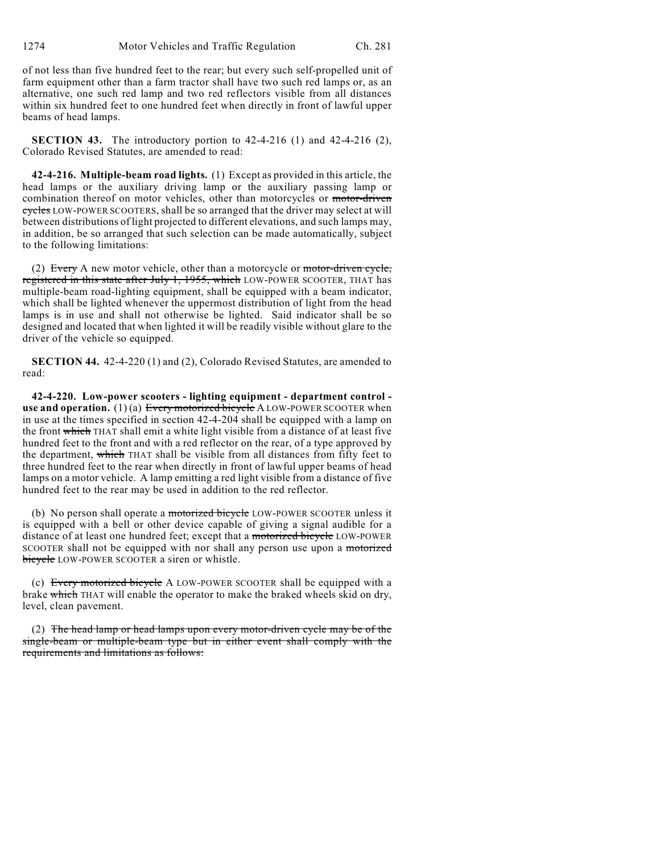of not less than five hundred feet to the rear; but every such self-propelled unit of farm equipment other than a farm tractor shall have two such red lamps or, as an alternative, one such red lamp and two red reflectors visible from all distances within six hundred feet to one hundred feet when directly in front of lawful upper beams of head lamps.

**SECTION 43.** The introductory portion to 42-4-216 (1) and 42-4-216 (2), Colorado Revised Statutes, are amended to read:

**42-4-216. Multiple-beam road lights.** (1) Except as provided in this article, the head lamps or the auxiliary driving lamp or the auxiliary passing lamp or combination thereof on motor vehicles, other than motorcycles or motor-driven cycles LOW-POWER SCOOTERS, shall be so arranged that the driver may select at will between distributions of light projected to different elevations, and such lamps may, in addition, be so arranged that such selection can be made automatically, subject to the following limitations:

(2) Every A new motor vehicle, other than a motorcycle or  $motor-driven cycle$ , registered in this state after July 1, 1955, which LOW-POWER SCOOTER, THAT has multiple-beam road-lighting equipment, shall be equipped with a beam indicator, which shall be lighted whenever the uppermost distribution of light from the head lamps is in use and shall not otherwise be lighted. Said indicator shall be so designed and located that when lighted it will be readily visible without glare to the driver of the vehicle so equipped.

**SECTION 44.** 42-4-220 (1) and (2), Colorado Revised Statutes, are amended to read:

**42-4-220. Low-power scooters - lighting equipment - department control use and operation.** (1) (a) Every motorized bicycle A LOW-POWER SCOOTER when in use at the times specified in section 42-4-204 shall be equipped with a lamp on the front which THAT shall emit a white light visible from a distance of at least five hundred feet to the front and with a red reflector on the rear, of a type approved by the department, which THAT shall be visible from all distances from fifty feet to three hundred feet to the rear when directly in front of lawful upper beams of head lamps on a motor vehicle. A lamp emitting a red light visible from a distance of five hundred feet to the rear may be used in addition to the red reflector.

(b) No person shall operate a motorized bicycle LOW-POWER SCOOTER unless it is equipped with a bell or other device capable of giving a signal audible for a distance of at least one hundred feet; except that a motorized bicycle LOW-POWER SCOOTER shall not be equipped with nor shall any person use upon a motorized bicycle LOW-POWER SCOOTER a siren or whistle.

(c) Every motorized bicycle A LOW-POWER SCOOTER shall be equipped with a brake which THAT will enable the operator to make the braked wheels skid on dry, level, clean pavement.

(2) The head lamp or head lamps upon every motor-driven cycle may be of the single-beam or multiple-beam type but in either event shall comply with the requirements and limitations as follows: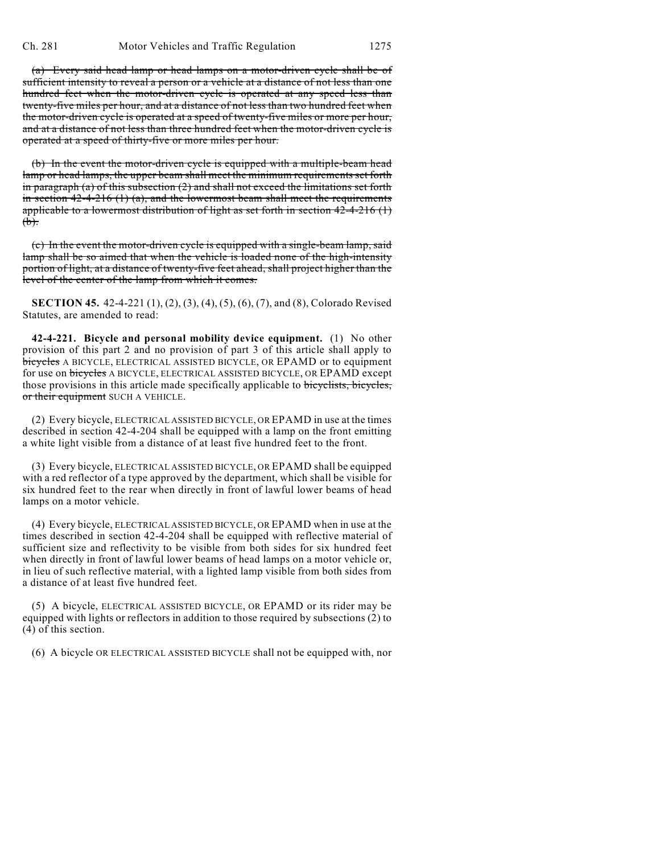(a) Every said head lamp or head lamps on a motor-driven cycle shall be of sufficient intensity to reveal a person or a vehicle at a distance of not less than one hundred feet when the motor-driven cycle is operated at any speed less than twenty-five miles per hour, and at a distance of not less than two hundred feet when the motor-driven cycle is operated at a speed of twenty-five miles or more per hour, and at a distance of not less than three hundred feet when the motor-driven cycle is operated at a speed of thirty-five or more miles per hour.

(b) In the event the motor-driven cycle is equipped with a multiple-beam head lamp or head lamps, the upper beam shall meet the minimum requirements set forth in paragraph (a) of this subsection  $(2)$  and shall not exceed the limitations set forth in section  $42-4-216$  (1) (a), and the lowermost beam shall meet the requirements applicable to a lowermost distribution of light as set forth in section  $42-4-216$  (1)  $(b).$ 

(c) In the event the motor-driven cycle is equipped with a single-beam lamp, said lamp shall be so aimed that when the vehicle is loaded none of the high-intensity portion of light, at a distance of twenty-five feet ahead, shall project higher than the level of the center of the lamp from which it comes.

**SECTION 45.** 42-4-221 (1), (2), (3), (4), (5), (6), (7), and (8), Colorado Revised Statutes, are amended to read:

**42-4-221. Bicycle and personal mobility device equipment.** (1) No other provision of this part 2 and no provision of part 3 of this article shall apply to bicycles A BICYCLE, ELECTRICAL ASSISTED BICYCLE, OR EPAMD or to equipment for use on bicycles A BICYCLE, ELECTRICAL ASSISTED BICYCLE, OR EPAMD except those provisions in this article made specifically applicable to bicyclists, bicycles, or their equipment SUCH A VEHICLE.

(2) Every bicycle, ELECTRICAL ASSISTED BICYCLE, OR EPAMD in use at the times described in section 42-4-204 shall be equipped with a lamp on the front emitting a white light visible from a distance of at least five hundred feet to the front.

(3) Every bicycle, ELECTRICAL ASSISTED BICYCLE, OR EPAMD shall be equipped with a red reflector of a type approved by the department, which shall be visible for six hundred feet to the rear when directly in front of lawful lower beams of head lamps on a motor vehicle.

(4) Every bicycle, ELECTRICAL ASSISTED BICYCLE, OR EPAMD when in use at the times described in section 42-4-204 shall be equipped with reflective material of sufficient size and reflectivity to be visible from both sides for six hundred feet when directly in front of lawful lower beams of head lamps on a motor vehicle or, in lieu of such reflective material, with a lighted lamp visible from both sides from a distance of at least five hundred feet.

(5) A bicycle, ELECTRICAL ASSISTED BICYCLE, OR EPAMD or its rider may be equipped with lights or reflectors in addition to those required by subsections (2) to (4) of this section.

(6) A bicycle OR ELECTRICAL ASSISTED BICYCLE shall not be equipped with, nor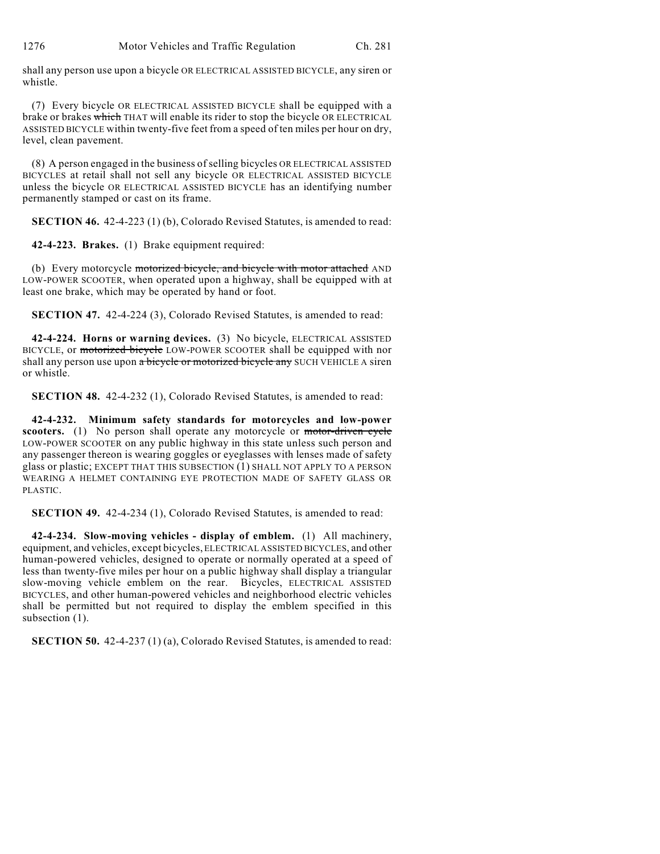1276 Motor Vehicles and Traffic Regulation Ch. 281

shall any person use upon a bicycle OR ELECTRICAL ASSISTED BICYCLE, any siren or whistle.

(7) Every bicycle OR ELECTRICAL ASSISTED BICYCLE shall be equipped with a brake or brakes which THAT will enable its rider to stop the bicycle OR ELECTRICAL ASSISTED BICYCLE within twenty-five feet from a speed of ten miles per hour on dry, level, clean pavement.

(8) A person engaged in the business of selling bicycles OR ELECTRICAL ASSISTED BICYCLES at retail shall not sell any bicycle OR ELECTRICAL ASSISTED BICYCLE unless the bicycle OR ELECTRICAL ASSISTED BICYCLE has an identifying number permanently stamped or cast on its frame.

**SECTION 46.** 42-4-223 (1) (b), Colorado Revised Statutes, is amended to read:

**42-4-223. Brakes.** (1) Brake equipment required:

(b) Every motorcycle motorized bicycle, and bicycle with motor attached AND LOW-POWER SCOOTER, when operated upon a highway, shall be equipped with at least one brake, which may be operated by hand or foot.

**SECTION 47.** 42-4-224 (3), Colorado Revised Statutes, is amended to read:

**42-4-224. Horns or warning devices.** (3) No bicycle, ELECTRICAL ASSISTED BICYCLE, or motorized bicycle LOW-POWER SCOOTER shall be equipped with nor shall any person use upon a bicycle or motorized bicycle any SUCH VEHICLE A siren or whistle.

**SECTION 48.** 42-4-232 (1), Colorado Revised Statutes, is amended to read:

**42-4-232. Minimum safety standards for motorcycles and low-power scooters.** (1) No person shall operate any motorcycle or motor-driven cycle LOW-POWER SCOOTER on any public highway in this state unless such person and any passenger thereon is wearing goggles or eyeglasses with lenses made of safety glass or plastic; EXCEPT THAT THIS SUBSECTION (1) SHALL NOT APPLY TO A PERSON WEARING A HELMET CONTAINING EYE PROTECTION MADE OF SAFETY GLASS OR PLASTIC.

**SECTION 49.** 42-4-234 (1), Colorado Revised Statutes, is amended to read:

**42-4-234. Slow-moving vehicles - display of emblem.** (1) All machinery, equipment, and vehicles, except bicycles, ELECTRICAL ASSISTED BICYCLES, and other human-powered vehicles, designed to operate or normally operated at a speed of less than twenty-five miles per hour on a public highway shall display a triangular slow-moving vehicle emblem on the rear. Bicycles, ELECTRICAL ASSISTED BICYCLES, and other human-powered vehicles and neighborhood electric vehicles shall be permitted but not required to display the emblem specified in this subsection  $(1)$ .

**SECTION 50.** 42-4-237 (1) (a), Colorado Revised Statutes, is amended to read: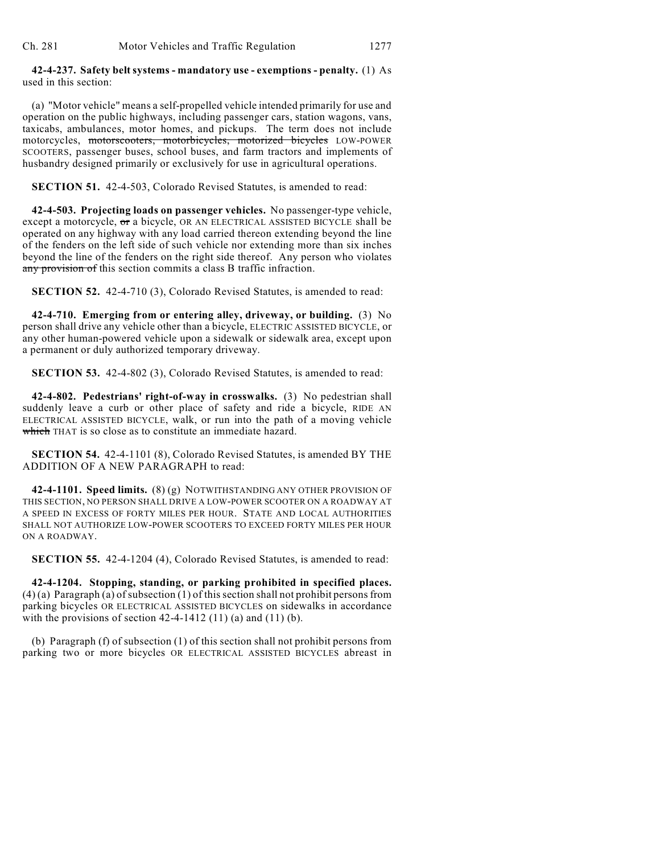## **42-4-237. Safety belt systems - mandatory use - exemptions - penalty.** (1) As used in this section:

(a) "Motor vehicle" means a self-propelled vehicle intended primarily for use and operation on the public highways, including passenger cars, station wagons, vans, taxicabs, ambulances, motor homes, and pickups. The term does not include motorcycles, motorscooters, motorbicycles, motorized bicycles LOW-POWER SCOOTERS, passenger buses, school buses, and farm tractors and implements of husbandry designed primarily or exclusively for use in agricultural operations.

## **SECTION 51.** 42-4-503, Colorado Revised Statutes, is amended to read:

**42-4-503. Projecting loads on passenger vehicles.** No passenger-type vehicle, except a motorcycle, or a bicycle, OR AN ELECTRICAL ASSISTED BICYCLE shall be operated on any highway with any load carried thereon extending beyond the line of the fenders on the left side of such vehicle nor extending more than six inches beyond the line of the fenders on the right side thereof. Any person who violates any provision of this section commits a class B traffic infraction.

**SECTION 52.** 42-4-710 (3), Colorado Revised Statutes, is amended to read:

**42-4-710. Emerging from or entering alley, driveway, or building.** (3) No person shall drive any vehicle other than a bicycle, ELECTRIC ASSISTED BICYCLE, or any other human-powered vehicle upon a sidewalk or sidewalk area, except upon a permanent or duly authorized temporary driveway.

**SECTION 53.** 42-4-802 (3), Colorado Revised Statutes, is amended to read:

**42-4-802. Pedestrians' right-of-way in crosswalks.** (3) No pedestrian shall suddenly leave a curb or other place of safety and ride a bicycle, RIDE AN ELECTRICAL ASSISTED BICYCLE, walk, or run into the path of a moving vehicle which THAT is so close as to constitute an immediate hazard.

**SECTION 54.** 42-4-1101 (8), Colorado Revised Statutes, is amended BY THE ADDITION OF A NEW PARAGRAPH to read:

**42-4-1101. Speed limits.** (8) (g) NOTWITHSTANDING ANY OTHER PROVISION OF THIS SECTION, NO PERSON SHALL DRIVE A LOW-POWER SCOOTER ON A ROADWAY AT A SPEED IN EXCESS OF FORTY MILES PER HOUR. STATE AND LOCAL AUTHORITIES SHALL NOT AUTHORIZE LOW-POWER SCOOTERS TO EXCEED FORTY MILES PER HOUR ON A ROADWAY.

**SECTION 55.** 42-4-1204 (4), Colorado Revised Statutes, is amended to read:

**42-4-1204. Stopping, standing, or parking prohibited in specified places.**  $(4)$  (a) Paragraph (a) of subsection (1) of this section shall not prohibit persons from parking bicycles OR ELECTRICAL ASSISTED BICYCLES on sidewalks in accordance with the provisions of section  $42-4-1412$  (11) (a) and (11) (b).

(b) Paragraph (f) of subsection (1) of this section shall not prohibit persons from parking two or more bicycles OR ELECTRICAL ASSISTED BICYCLES abreast in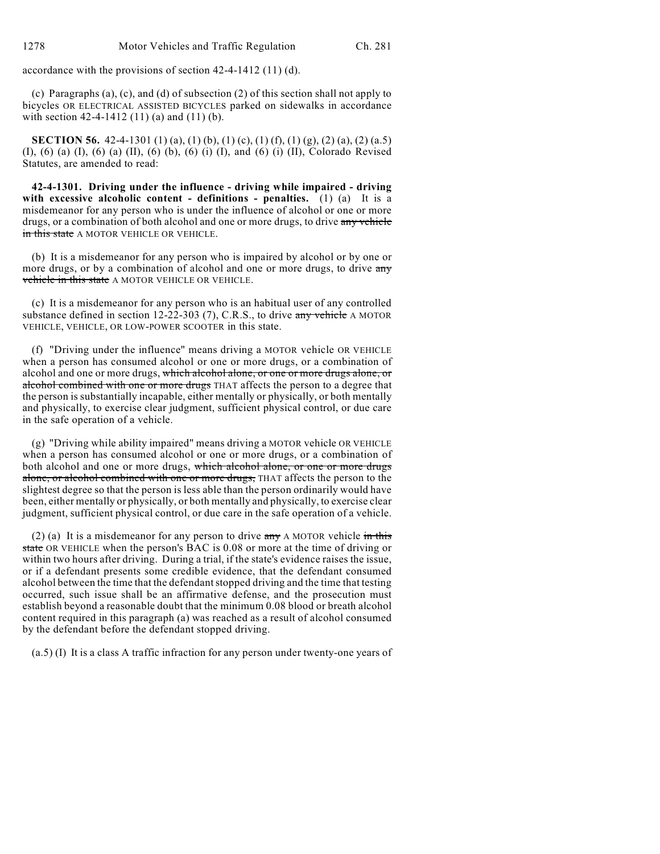accordance with the provisions of section 42-4-1412 (11) (d).

(c) Paragraphs (a), (c), and (d) of subsection (2) of this section shall not apply to bicycles OR ELECTRICAL ASSISTED BICYCLES parked on sidewalks in accordance with section 42-4-1412 (11) (a) and (11) (b).

**SECTION 56.** 42-4-1301 (1) (a), (1) (b), (1) (c), (1) (f), (1) (g), (2) (a), (2) (a.5) (I), (6) (a) (I), (6) (a) (II), (6) (b), (6) (i) (I), and (6) (i) (II), Colorado Revised Statutes, are amended to read:

**42-4-1301. Driving under the influence - driving while impaired - driving with excessive alcoholic content - definitions - penalties.** (1) (a) It is a misdemeanor for any person who is under the influence of alcohol or one or more drugs, or a combination of both alcohol and one or more drugs, to drive any vehicle in this state A MOTOR VEHICLE OR VEHICLE.

(b) It is a misdemeanor for any person who is impaired by alcohol or by one or more drugs, or by a combination of alcohol and one or more drugs, to drive any vehicle in this state A MOTOR VEHICLE OR VEHICLE.

(c) It is a misdemeanor for any person who is an habitual user of any controlled substance defined in section 12-22-303 (7), C.R.S., to drive  $\frac{1}{2}$  we thick A MOTOR VEHICLE, VEHICLE, OR LOW-POWER SCOOTER in this state.

(f) "Driving under the influence" means driving a MOTOR vehicle OR VEHICLE when a person has consumed alcohol or one or more drugs, or a combination of alcohol and one or more drugs, which alcohol alone, or one or more drugs alone, or alcohol combined with one or more drugs THAT affects the person to a degree that the person is substantially incapable, either mentally or physically, or both mentally and physically, to exercise clear judgment, sufficient physical control, or due care in the safe operation of a vehicle.

(g) "Driving while ability impaired" means driving a MOTOR vehicle OR VEHICLE when a person has consumed alcohol or one or more drugs, or a combination of both alcohol and one or more drugs, which alcohol alone, or one or more drugs alone, or alcohol combined with one or more drugs, THAT affects the person to the slightest degree so that the person is less able than the person ordinarily would have been, either mentally or physically, or both mentally and physically, to exercise clear judgment, sufficient physical control, or due care in the safe operation of a vehicle.

(2) (a) It is a misdemeanor for any person to drive  $\frac{1}{2}$  A MOTOR vehicle in this state OR VEHICLE when the person's BAC is 0.08 or more at the time of driving or within two hours after driving. During a trial, if the state's evidence raises the issue, or if a defendant presents some credible evidence, that the defendant consumed alcohol between the time that the defendant stopped driving and the time that testing occurred, such issue shall be an affirmative defense, and the prosecution must establish beyond a reasonable doubt that the minimum 0.08 blood or breath alcohol content required in this paragraph (a) was reached as a result of alcohol consumed by the defendant before the defendant stopped driving.

(a.5) (I) It is a class A traffic infraction for any person under twenty-one years of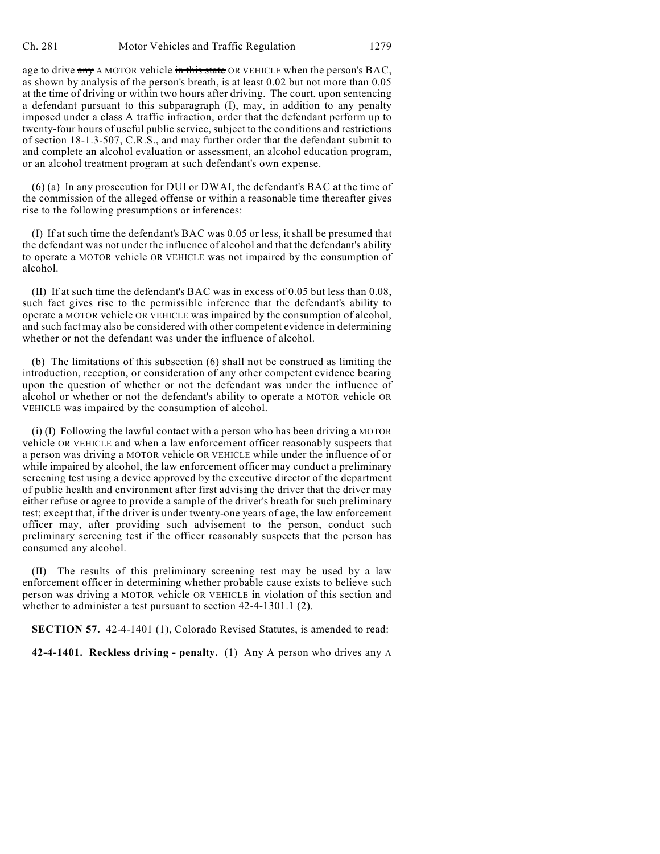age to drive any A MOTOR vehicle in this state OR VEHICLE when the person's BAC, as shown by analysis of the person's breath, is at least 0.02 but not more than 0.05 at the time of driving or within two hours after driving. The court, upon sentencing a defendant pursuant to this subparagraph (I), may, in addition to any penalty imposed under a class A traffic infraction, order that the defendant perform up to twenty-four hours of useful public service, subject to the conditions and restrictions of section 18-1.3-507, C.R.S., and may further order that the defendant submit to and complete an alcohol evaluation or assessment, an alcohol education program, or an alcohol treatment program at such defendant's own expense.

(6) (a) In any prosecution for DUI or DWAI, the defendant's BAC at the time of the commission of the alleged offense or within a reasonable time thereafter gives rise to the following presumptions or inferences:

(I) If at such time the defendant's BAC was 0.05 or less, it shall be presumed that the defendant was not under the influence of alcohol and that the defendant's ability to operate a MOTOR vehicle OR VEHICLE was not impaired by the consumption of alcohol.

(II) If at such time the defendant's BAC was in excess of 0.05 but less than 0.08, such fact gives rise to the permissible inference that the defendant's ability to operate a MOTOR vehicle OR VEHICLE was impaired by the consumption of alcohol, and such fact may also be considered with other competent evidence in determining whether or not the defendant was under the influence of alcohol.

(b) The limitations of this subsection (6) shall not be construed as limiting the introduction, reception, or consideration of any other competent evidence bearing upon the question of whether or not the defendant was under the influence of alcohol or whether or not the defendant's ability to operate a MOTOR vehicle OR VEHICLE was impaired by the consumption of alcohol.

(i) (I) Following the lawful contact with a person who has been driving a MOTOR vehicle OR VEHICLE and when a law enforcement officer reasonably suspects that a person was driving a MOTOR vehicle OR VEHICLE while under the influence of or while impaired by alcohol, the law enforcement officer may conduct a preliminary screening test using a device approved by the executive director of the department of public health and environment after first advising the driver that the driver may either refuse or agree to provide a sample of the driver's breath for such preliminary test; except that, if the driver is under twenty-one years of age, the law enforcement officer may, after providing such advisement to the person, conduct such preliminary screening test if the officer reasonably suspects that the person has consumed any alcohol.

(II) The results of this preliminary screening test may be used by a law enforcement officer in determining whether probable cause exists to believe such person was driving a MOTOR vehicle OR VEHICLE in violation of this section and whether to administer a test pursuant to section 42-4-1301.1 (2).

**SECTION 57.** 42-4-1401 (1), Colorado Revised Statutes, is amended to read:

**42-4-1401. Reckless driving - penalty.** (1) Any A person who drives any A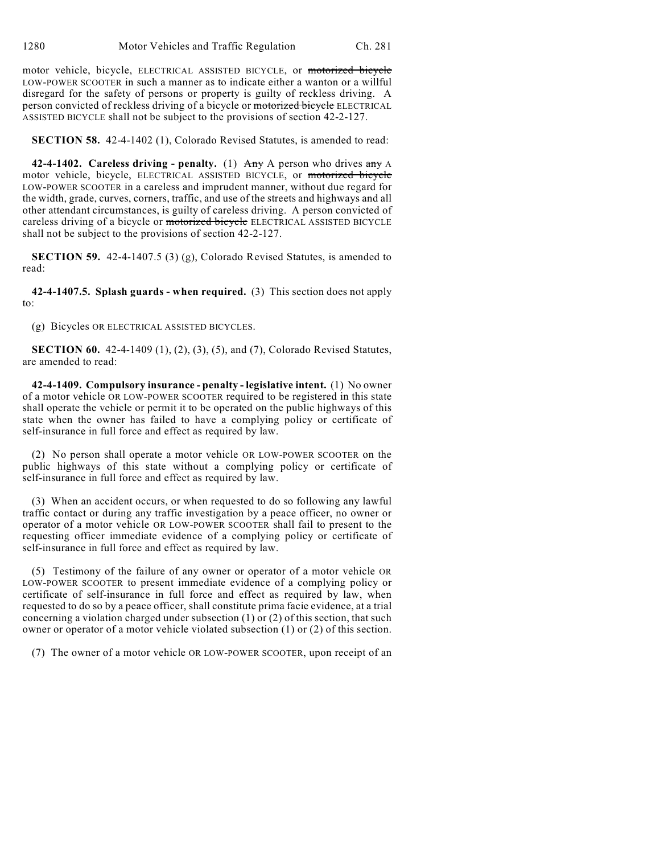motor vehicle, bicycle, ELECTRICAL ASSISTED BICYCLE, or motorized bicycle LOW-POWER SCOOTER in such a manner as to indicate either a wanton or a willful disregard for the safety of persons or property is guilty of reckless driving. A person convicted of reckless driving of a bicycle or motorized bicycle ELECTRICAL ASSISTED BICYCLE shall not be subject to the provisions of section 42-2-127.

**SECTION 58.** 42-4-1402 (1), Colorado Revised Statutes, is amended to read:

**42-4-1402. Careless driving - penalty.** (1) Any A person who drives any A motor vehicle, bicycle, ELECTRICAL ASSISTED BICYCLE, or motorized bicycle LOW-POWER SCOOTER in a careless and imprudent manner, without due regard for the width, grade, curves, corners, traffic, and use of the streets and highways and all other attendant circumstances, is guilty of careless driving. A person convicted of careless driving of a bicycle or motorized bicycle ELECTRICAL ASSISTED BICYCLE shall not be subject to the provisions of section 42-2-127.

**SECTION 59.** 42-4-1407.5 (3) (g), Colorado Revised Statutes, is amended to read:

**42-4-1407.5. Splash guards - when required.** (3) This section does not apply to:

(g) Bicycles OR ELECTRICAL ASSISTED BICYCLES.

**SECTION 60.** 42-4-1409 (1), (2), (3), (5), and (7), Colorado Revised Statutes, are amended to read:

**42-4-1409. Compulsory insurance - penalty - legislative intent.** (1) No owner of a motor vehicle OR LOW-POWER SCOOTER required to be registered in this state shall operate the vehicle or permit it to be operated on the public highways of this state when the owner has failed to have a complying policy or certificate of self-insurance in full force and effect as required by law.

(2) No person shall operate a motor vehicle OR LOW-POWER SCOOTER on the public highways of this state without a complying policy or certificate of self-insurance in full force and effect as required by law.

(3) When an accident occurs, or when requested to do so following any lawful traffic contact or during any traffic investigation by a peace officer, no owner or operator of a motor vehicle OR LOW-POWER SCOOTER shall fail to present to the requesting officer immediate evidence of a complying policy or certificate of self-insurance in full force and effect as required by law.

(5) Testimony of the failure of any owner or operator of a motor vehicle OR LOW-POWER SCOOTER to present immediate evidence of a complying policy or certificate of self-insurance in full force and effect as required by law, when requested to do so by a peace officer, shall constitute prima facie evidence, at a trial concerning a violation charged under subsection (1) or (2) of this section, that such owner or operator of a motor vehicle violated subsection (1) or (2) of this section.

(7) The owner of a motor vehicle OR LOW-POWER SCOOTER, upon receipt of an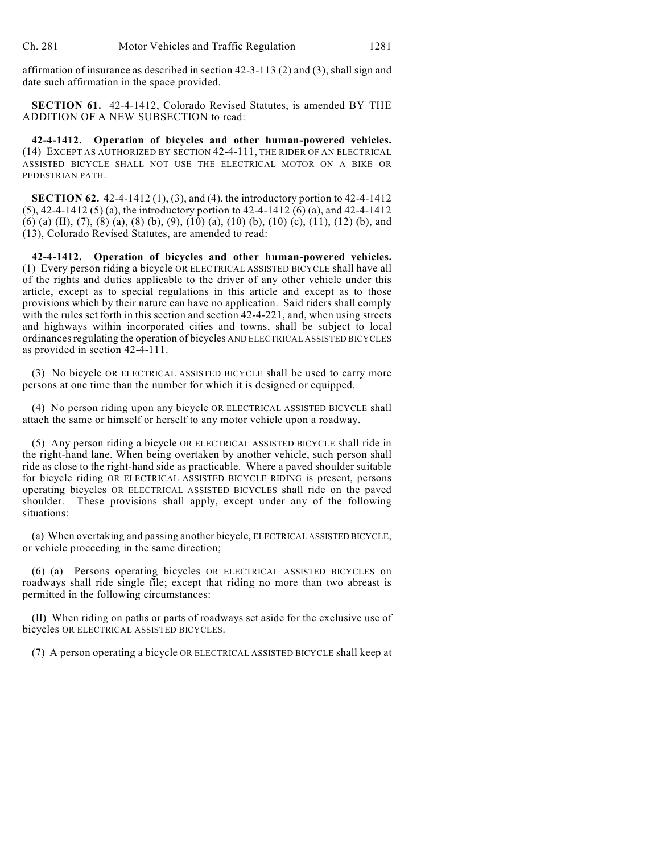affirmation of insurance as described in section 42-3-113 (2) and (3), shall sign and date such affirmation in the space provided.

**SECTION 61.** 42-4-1412, Colorado Revised Statutes, is amended BY THE ADDITION OF A NEW SUBSECTION to read:

**42-4-1412. Operation of bicycles and other human-powered vehicles.** (14) EXCEPT AS AUTHORIZED BY SECTION 42-4-111, THE RIDER OF AN ELECTRICAL ASSISTED BICYCLE SHALL NOT USE THE ELECTRICAL MOTOR ON A BIKE OR PEDESTRIAN PATH.

**SECTION 62.** 42-4-1412 (1), (3), and (4), the introductory portion to 42-4-1412 (5), 42-4-1412 (5) (a), the introductory portion to 42-4-1412 (6) (a), and 42-4-1412 (6) (a) (II), (7), (8) (a), (8) (b), (9), (10) (a), (10) (b), (10) (c), (11), (12) (b), and (13), Colorado Revised Statutes, are amended to read:

**42-4-1412. Operation of bicycles and other human-powered vehicles.** (1) Every person riding a bicycle OR ELECTRICAL ASSISTED BICYCLE shall have all of the rights and duties applicable to the driver of any other vehicle under this article, except as to special regulations in this article and except as to those provisions which by their nature can have no application. Said riders shall comply with the rules set forth in this section and section 42-4-221, and, when using streets and highways within incorporated cities and towns, shall be subject to local ordinances regulating the operation of bicycles AND ELECTRICAL ASSISTED BICYCLES as provided in section 42-4-111.

(3) No bicycle OR ELECTRICAL ASSISTED BICYCLE shall be used to carry more persons at one time than the number for which it is designed or equipped.

(4) No person riding upon any bicycle OR ELECTRICAL ASSISTED BICYCLE shall attach the same or himself or herself to any motor vehicle upon a roadway.

(5) Any person riding a bicycle OR ELECTRICAL ASSISTED BICYCLE shall ride in the right-hand lane. When being overtaken by another vehicle, such person shall ride as close to the right-hand side as practicable. Where a paved shoulder suitable for bicycle riding OR ELECTRICAL ASSISTED BICYCLE RIDING is present, persons operating bicycles OR ELECTRICAL ASSISTED BICYCLES shall ride on the paved shoulder. These provisions shall apply, except under any of the following situations:

(a) When overtaking and passing another bicycle, ELECTRICAL ASSISTED BICYCLE, or vehicle proceeding in the same direction;

(6) (a) Persons operating bicycles OR ELECTRICAL ASSISTED BICYCLES on roadways shall ride single file; except that riding no more than two abreast is permitted in the following circumstances:

(II) When riding on paths or parts of roadways set aside for the exclusive use of bicycles OR ELECTRICAL ASSISTED BICYCLES.

(7) A person operating a bicycle OR ELECTRICAL ASSISTED BICYCLE shall keep at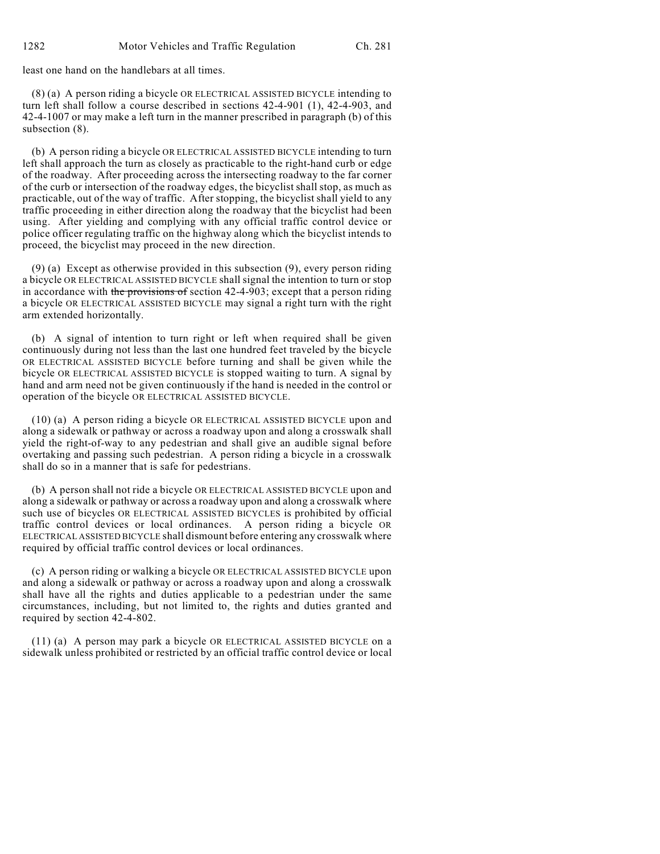least one hand on the handlebars at all times.

(8) (a) A person riding a bicycle OR ELECTRICAL ASSISTED BICYCLE intending to turn left shall follow a course described in sections 42-4-901 (1), 42-4-903, and 42-4-1007 or may make a left turn in the manner prescribed in paragraph (b) of this subsection (8).

(b) A person riding a bicycle OR ELECTRICAL ASSISTED BICYCLE intending to turn left shall approach the turn as closely as practicable to the right-hand curb or edge of the roadway. After proceeding across the intersecting roadway to the far corner of the curb or intersection of the roadway edges, the bicyclist shall stop, as much as practicable, out of the way of traffic. After stopping, the bicyclist shall yield to any traffic proceeding in either direction along the roadway that the bicyclist had been using. After yielding and complying with any official traffic control device or police officer regulating traffic on the highway along which the bicyclist intends to proceed, the bicyclist may proceed in the new direction.

(9) (a) Except as otherwise provided in this subsection (9), every person riding a bicycle OR ELECTRICAL ASSISTED BICYCLE shall signal the intention to turn or stop in accordance with the provisions of section  $42-4-903$ ; except that a person riding a bicycle OR ELECTRICAL ASSISTED BICYCLE may signal a right turn with the right arm extended horizontally.

(b) A signal of intention to turn right or left when required shall be given continuously during not less than the last one hundred feet traveled by the bicycle OR ELECTRICAL ASSISTED BICYCLE before turning and shall be given while the bicycle OR ELECTRICAL ASSISTED BICYCLE is stopped waiting to turn. A signal by hand and arm need not be given continuously if the hand is needed in the control or operation of the bicycle OR ELECTRICAL ASSISTED BICYCLE.

(10) (a) A person riding a bicycle OR ELECTRICAL ASSISTED BICYCLE upon and along a sidewalk or pathway or across a roadway upon and along a crosswalk shall yield the right-of-way to any pedestrian and shall give an audible signal before overtaking and passing such pedestrian. A person riding a bicycle in a crosswalk shall do so in a manner that is safe for pedestrians.

(b) A person shall not ride a bicycle OR ELECTRICAL ASSISTED BICYCLE upon and along a sidewalk or pathway or across a roadway upon and along a crosswalk where such use of bicycles OR ELECTRICAL ASSISTED BICYCLES is prohibited by official traffic control devices or local ordinances. A person riding a bicycle OR ELECTRICAL ASSISTED BICYCLE shall dismount before entering any crosswalk where required by official traffic control devices or local ordinances.

(c) A person riding or walking a bicycle OR ELECTRICAL ASSISTED BICYCLE upon and along a sidewalk or pathway or across a roadway upon and along a crosswalk shall have all the rights and duties applicable to a pedestrian under the same circumstances, including, but not limited to, the rights and duties granted and required by section 42-4-802.

(11) (a) A person may park a bicycle OR ELECTRICAL ASSISTED BICYCLE on a sidewalk unless prohibited or restricted by an official traffic control device or local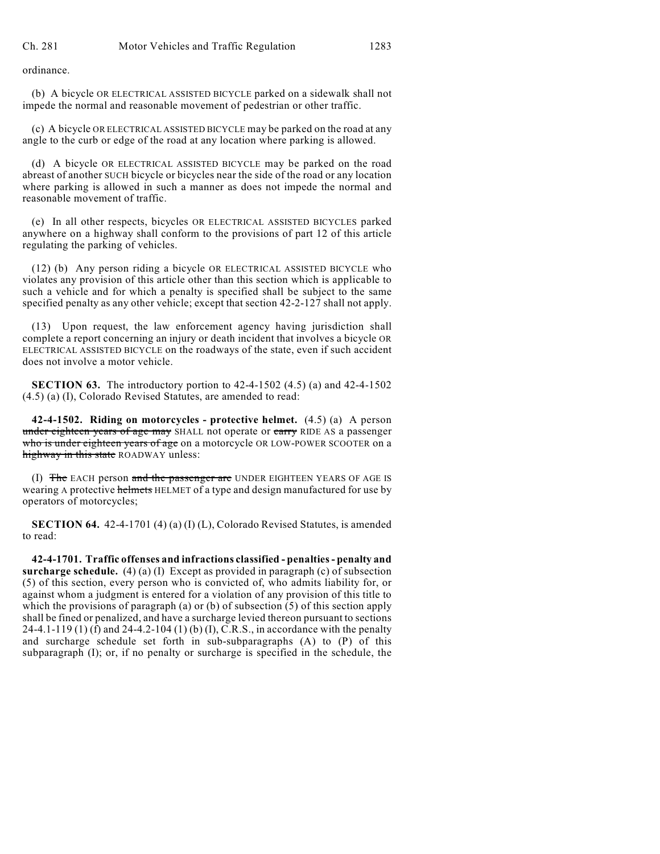ordinance.

(b) A bicycle OR ELECTRICAL ASSISTED BICYCLE parked on a sidewalk shall not impede the normal and reasonable movement of pedestrian or other traffic.

(c) A bicycle OR ELECTRICAL ASSISTED BICYCLE may be parked on the road at any angle to the curb or edge of the road at any location where parking is allowed.

(d) A bicycle OR ELECTRICAL ASSISTED BICYCLE may be parked on the road abreast of another SUCH bicycle or bicycles near the side of the road or any location where parking is allowed in such a manner as does not impede the normal and reasonable movement of traffic.

(e) In all other respects, bicycles OR ELECTRICAL ASSISTED BICYCLES parked anywhere on a highway shall conform to the provisions of part 12 of this article regulating the parking of vehicles.

(12) (b) Any person riding a bicycle OR ELECTRICAL ASSISTED BICYCLE who violates any provision of this article other than this section which is applicable to such a vehicle and for which a penalty is specified shall be subject to the same specified penalty as any other vehicle; except that section 42-2-127 shall not apply.

(13) Upon request, the law enforcement agency having jurisdiction shall complete a report concerning an injury or death incident that involves a bicycle OR ELECTRICAL ASSISTED BICYCLE on the roadways of the state, even if such accident does not involve a motor vehicle.

**SECTION 63.** The introductory portion to 42-4-1502 (4.5) (a) and 42-4-1502 (4.5) (a) (I), Colorado Revised Statutes, are amended to read:

**42-4-1502. Riding on motorcycles - protective helmet.** (4.5) (a) A person under eighteen years of age may SHALL not operate or carry RIDE AS a passenger who is under eighteen years of age on a motorcycle OR LOW-POWER SCOOTER on a highway in this state ROADWAY unless:

(I) The EACH person and the passenger are UNDER EIGHTEEN YEARS OF AGE IS wearing A protective helmets HELMET of a type and design manufactured for use by operators of motorcycles;

**SECTION 64.** 42-4-1701 (4) (a) (I) (L), Colorado Revised Statutes, is amended to read:

**42-4-1701. Traffic offenses and infractions classified - penalties - penalty and surcharge schedule.** (4) (a) (I) Except as provided in paragraph (c) of subsection (5) of this section, every person who is convicted of, who admits liability for, or against whom a judgment is entered for a violation of any provision of this title to which the provisions of paragraph (a) or (b) of subsection  $(5)$  of this section apply shall be fined or penalized, and have a surcharge levied thereon pursuant to sections 24-4.1-119 (1) (f) and 24-4.2-104 (1) (b) (I), C.R.S., in accordance with the penalty and surcharge schedule set forth in sub-subparagraphs (A) to (P) of this subparagraph (I); or, if no penalty or surcharge is specified in the schedule, the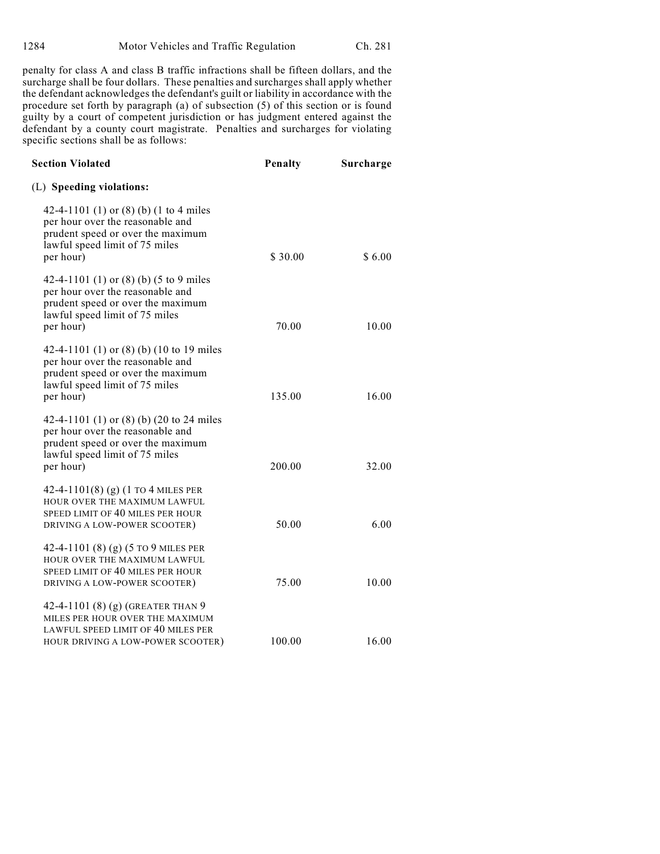penalty for class A and class B traffic infractions shall be fifteen dollars, and the surcharge shall be four dollars. These penalties and surcharges shall apply whether the defendant acknowledges the defendant's guilt or liability in accordance with the procedure set forth by paragraph (a) of subsection (5) of this section or is found guilty by a court of competent jurisdiction or has judgment entered against the defendant by a county court magistrate. Penalties and surcharges for violating specific sections shall be as follows:

| <b>Section Violated</b>                                                                                                                                          | Penalty | Surcharge |
|------------------------------------------------------------------------------------------------------------------------------------------------------------------|---------|-----------|
| (L) Speeding violations:                                                                                                                                         |         |           |
| 42-4-1101 (1) or (8) (b) (1 to 4 miles<br>per hour over the reasonable and<br>prudent speed or over the maximum<br>lawful speed limit of 75 miles<br>per hour)   | \$30.00 | \$6.00    |
| 42-4-1101 (1) or (8) (b) (5 to 9 miles<br>per hour over the reasonable and<br>prudent speed or over the maximum<br>lawful speed limit of 75 miles<br>per hour)   | 70.00   | 10.00     |
| 42-4-1101 (1) or (8) (b) (10 to 19 miles<br>per hour over the reasonable and<br>prudent speed or over the maximum<br>lawful speed limit of 75 miles<br>per hour) | 135.00  | 16.00     |
| 42-4-1101 (1) or (8) (b) (20 to 24 miles<br>per hour over the reasonable and<br>prudent speed or over the maximum<br>lawful speed limit of 75 miles<br>per hour) | 200.00  | 32.00     |
| 42-4-1101(8) (g) (1 TO 4 MILES PER<br>HOUR OVER THE MAXIMUM LAWFUL<br>SPEED LIMIT OF 40 MILES PER HOUR<br>DRIVING A LOW-POWER SCOOTER)                           | 50.00   | 6.00      |
| 42-4-1101 (8) (g) (5 TO 9 MILES PER<br>HOUR OVER THE MAXIMUM LAWFUL<br>SPEED LIMIT OF 40 MILES PER HOUR<br>DRIVING A LOW-POWER SCOOTER)                          | 75.00   | 10.00     |
| 42-4-1101 (8) (g) (GREATER THAN 9<br>MILES PER HOUR OVER THE MAXIMUM<br>LAWFUL SPEED LIMIT OF 40 MILES PER<br>HOUR DRIVING A LOW-POWER SCOOTER)                  | 100.00  | 16.00     |
|                                                                                                                                                                  |         |           |